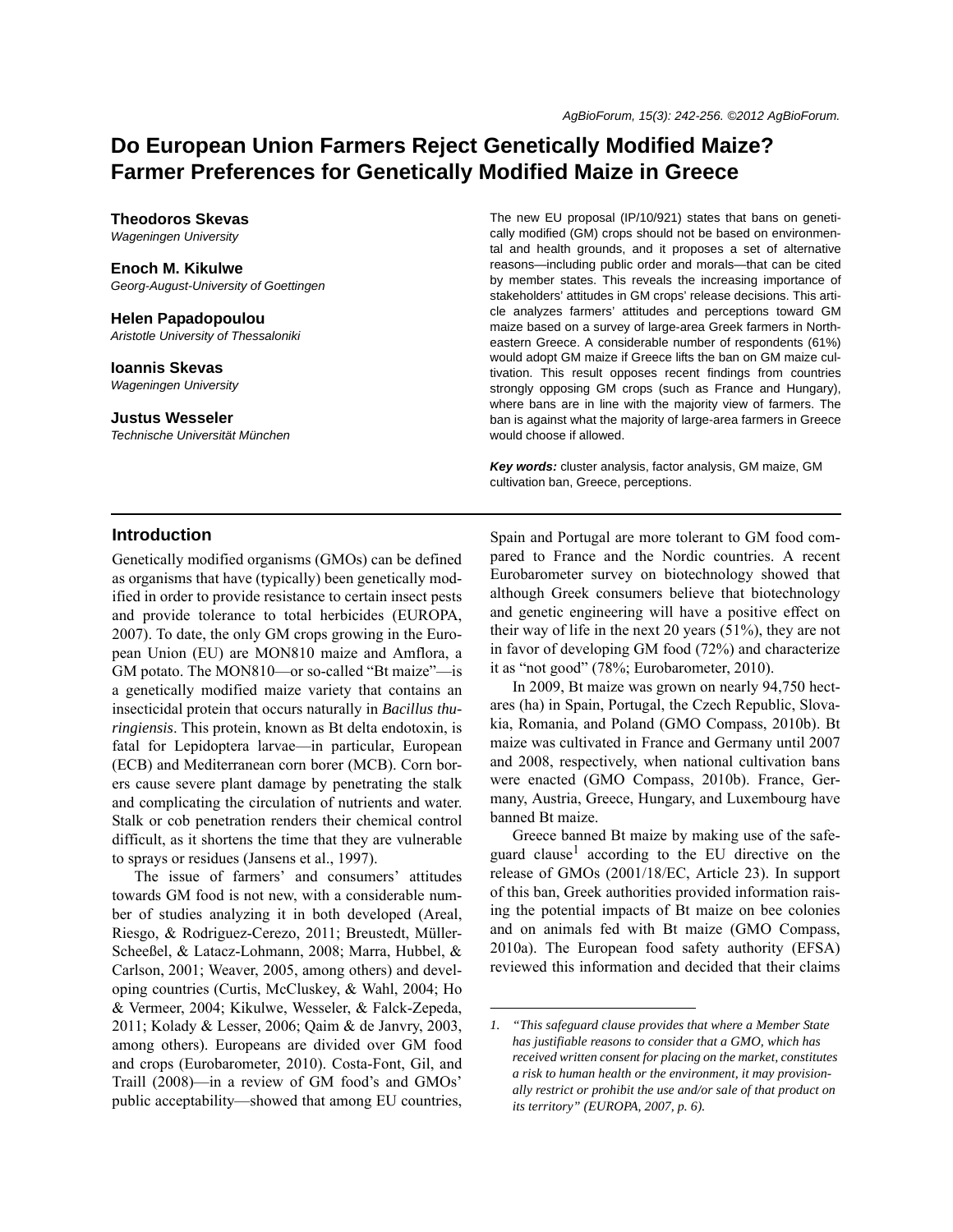# **Do European Union Farmers Reject Genetically Modified Maize? Farmer Preferences for Genetically Modified Maize in Greece**

#### **Theodoros Skevas**

*Wageningen University*

#### **Enoch M. Kikulwe**

*Georg-August-University of Goettingen*

# **Helen Papadopoulou**

*Aristotle University of Thessaloniki*

# **Ioannis Skevas**

*Wageningen University*

**Justus Wesseler** *Technische Universität München*

#### The new EU proposal (IP/10/921) states that bans on genetically modified (GM) crops should not be based on environmental and health grounds, and it proposes a set of alternative reasons—including public order and morals—that can be cited by member states. This reveals the increasing importance of stakeholders' attitudes in GM crops' release decisions. This article analyzes farmers' attitudes and perceptions toward GM maize based on a survey of large-area Greek farmers in Northeastern Greece. A considerable number of respondents (61%) would adopt GM maize if Greece lifts the ban on GM maize cultivation. This result opposes recent findings from countries strongly opposing GM crops (such as France and Hungary), where bans are in line with the majority view of farmers. The ban is against what the majority of large-area farmers in Greece would choose if allowed.

*Key words:* cluster analysis, factor analysis, GM maize, GM cultivation ban, Greece, perceptions.

### **Introduction**

Genetically modified organisms (GMOs) can be defined as organisms that have (typically) been genetically modified in order to provide resistance to certain insect pests and provide tolerance to total herbicides (EUROPA, 2007). To date, the only GM crops growing in the European Union (EU) are MON810 maize and Amflora, a GM potato. The MON810—or so-called "Bt maize"—is a genetically modified maize variety that contains an insecticidal protein that occurs naturally in *Bacillus thuringiensis*. This protein, known as Bt delta endotoxin, is fatal for Lepidoptera larvae—in particular, European (ECB) and Mediterranean corn borer (MCB). Corn borers cause severe plant damage by penetrating the stalk and complicating the circulation of nutrients and water. Stalk or cob penetration renders their chemical control difficult, as it shortens the time that they are vulnerable to sprays or residues (Jansens et al., 1997).

The issue of farmers' and consumers' attitudes towards GM food is not new, with a considerable number of studies analyzing it in both developed (Areal, Riesgo, & Rodriguez-Cerezo, 2011; Breustedt, Müller-Scheeßel, & Latacz-Lohmann, 2008; Marra, Hubbel, & Carlson, 2001; Weaver, 2005, among others) and developing countries (Curtis, McCluskey, & Wahl, 2004; Ho & Vermeer, 2004; Kikulwe, Wesseler, & Falck-Zepeda, 2011; Kolady & Lesser, 2006; Qaim & de Janvry, 2003, among others). Europeans are divided over GM food and crops (Eurobarometer, 2010). Costa-Font, Gil, and Traill (2008)—in a review of GM food's and GMOs' public acceptability—showed that among EU countries, Spain and Portugal are more tolerant to GM food compared to France and the Nordic countries. A recent Eurobarometer survey on biotechnology showed that although Greek consumers believe that biotechnology and genetic engineering will have a positive effect on their way of life in the next 20 years (51%), they are not in favor of developing GM food (72%) and characterize it as "not good" (78%; Eurobarometer, 2010).

In 2009, Bt maize was grown on nearly 94,750 hectares (ha) in Spain, Portugal, the Czech Republic, Slovakia, Romania, and Poland (GMO Compass, 2010b). Bt maize was cultivated in France and Germany until 2007 and 2008, respectively, when national cultivation bans were enacted (GMO Compass, 2010b). France, Germany, Austria, Greece, Hungary, and Luxembourg have banned Bt maize.

Greece banned Bt maize by making use of the safeguard clause<sup>1</sup> according to the EU directive on the release of GMOs (2001/18/EC, Article 23). In support of this ban, Greek authorities provided information raising the potential impacts of Bt maize on bee colonies and on animals fed with Bt maize (GMO Compass, 2010a). The European food safety authority (EFSA) reviewed this information and decided that their claims

*<sup>1. &</sup>quot;This safeguard clause provides that where a Member State has justifiable reasons to consider that a GMO, which has received written consent for placing on the market, constitutes a risk to human health or the environment, it may provisionally restrict or prohibit the use and/or sale of that product on its territory" (EUROPA, 2007, p. 6).*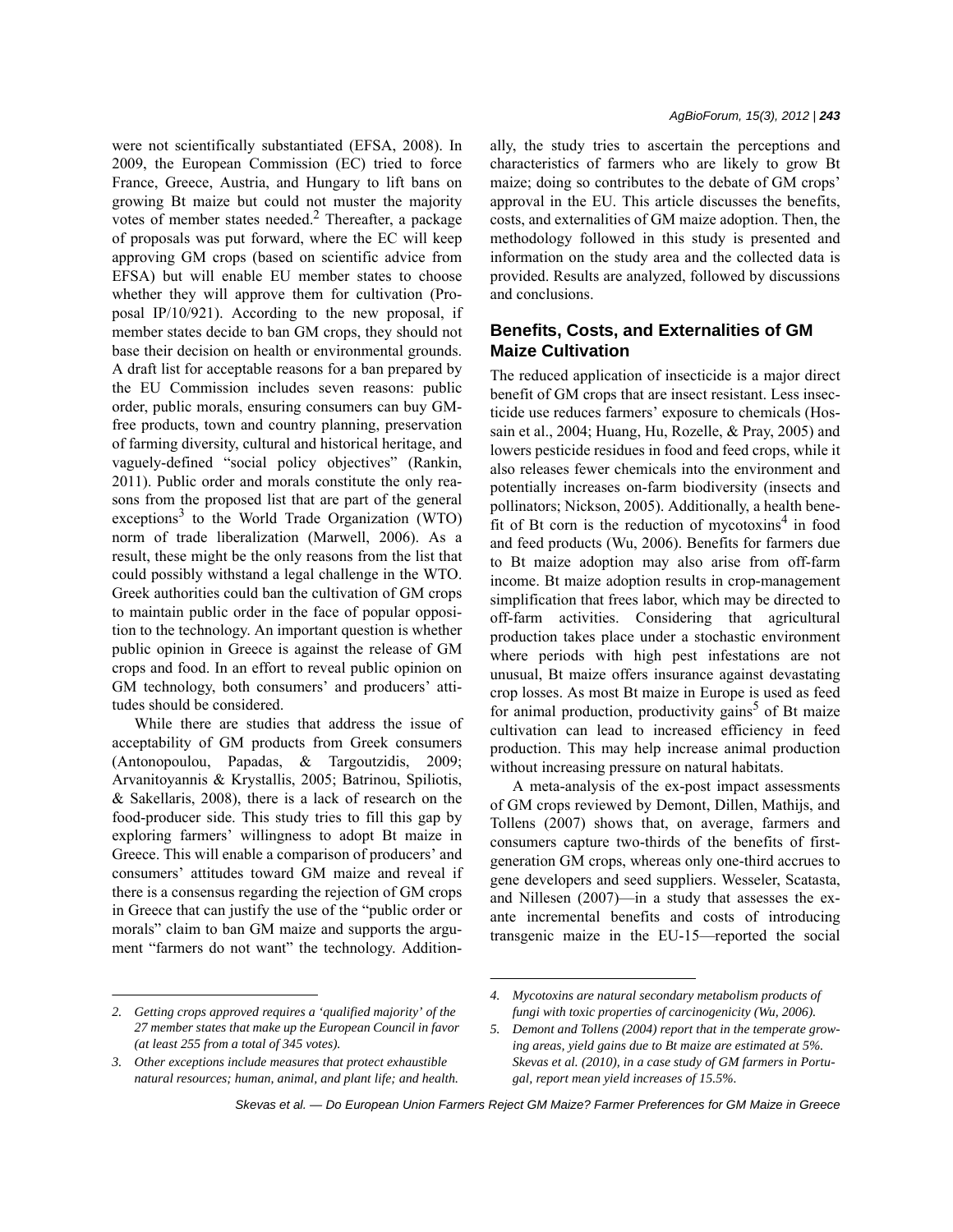were not scientifically substantiated (EFSA, 2008). In 2009, the European Commission (EC) tried to force France, Greece, Austria, and Hungary to lift bans on growing Bt maize but could not muster the majority votes of member states needed.<sup>2</sup> Thereafter, a package of proposals was put forward, where the EC will keep approving GM crops (based on scientific advice from EFSA) but will enable EU member states to choose whether they will approve them for cultivation (Proposal IP/10/921). According to the new proposal, if member states decide to ban GM crops, they should not base their decision on health or environmental grounds. A draft list for acceptable reasons for a ban prepared by the EU Commission includes seven reasons: public order, public morals, ensuring consumers can buy GMfree products, town and country planning, preservation of farming diversity, cultural and historical heritage, and vaguely-defined "social policy objectives" (Rankin, 2011). Public order and morals constitute the only reasons from the proposed list that are part of the general  $exceptions<sup>3</sup>$  to the World Trade Organization (WTO) norm of trade liberalization (Marwell, 2006). As a result, these might be the only reasons from the list that could possibly withstand a legal challenge in the WTO. Greek authorities could ban the cultivation of GM crops to maintain public order in the face of popular opposition to the technology. An important question is whether public opinion in Greece is against the release of GM crops and food. In an effort to reveal public opinion on GM technology, both consumers' and producers' attitudes should be considered.

While there are studies that address the issue of acceptability of GM products from Greek consumers (Antonopoulou, Papadas, & Targoutzidis, 2009; Arvanitoyannis & Krystallis, 2005; Batrinou, Spiliotis, & Sakellaris, 2008), there is a lack of research on the food-producer side. This study tries to fill this gap by exploring farmers' willingness to adopt Bt maize in Greece. This will enable a comparison of producers' and consumers' attitudes toward GM maize and reveal if there is a consensus regarding the rejection of GM crops in Greece that can justify the use of the "public order or morals" claim to ban GM maize and supports the argument "farmers do not want" the technology. Addition*AgBioForum, 15(3), 2012 | 243*

ally, the study tries to ascertain the perceptions and characteristics of farmers who are likely to grow Bt maize; doing so contributes to the debate of GM crops' approval in the EU. This article discusses the benefits, costs, and externalities of GM maize adoption. Then, the methodology followed in this study is presented and information on the study area and the collected data is provided. Results are analyzed, followed by discussions and conclusions.

# **Benefits, Costs, and Externalities of GM Maize Cultivation**

The reduced application of insecticide is a major direct benefit of GM crops that are insect resistant. Less insecticide use reduces farmers' exposure to chemicals (Hossain et al., 2004; Huang, Hu, Rozelle, & Pray, 2005) and lowers pesticide residues in food and feed crops, while it also releases fewer chemicals into the environment and potentially increases on-farm biodiversity (insects and pollinators; Nickson, 2005). Additionally, a health bene- $\int$ fit of Bt corn is the reduction of mycotoxins<sup>4</sup> in food and feed products (Wu, 2006). Benefits for farmers due to Bt maize adoption may also arise from off-farm income. Bt maize adoption results in crop-management simplification that frees labor, which may be directed to off-farm activities. Considering that agricultural production takes place under a stochastic environment where periods with high pest infestations are not unusual, Bt maize offers insurance against devastating crop losses. As most Bt maize in Europe is used as feed for animal production, productivity gains<sup>5</sup> of Bt maize cultivation can lead to increased efficiency in feed production. This may help increase animal production without increasing pressure on natural habitats.

A meta-analysis of the ex-post impact assessments of GM crops reviewed by Demont, Dillen, Mathijs, and Tollens (2007) shows that, on average, farmers and consumers capture two-thirds of the benefits of firstgeneration GM crops, whereas only one-third accrues to gene developers and seed suppliers. Wesseler, Scatasta, and Nillesen (2007)—in a study that assesses the exante incremental benefits and costs of introducing transgenic maize in the EU-15—reported the social

*<sup>2.</sup> Getting crops approved requires a 'qualified majority' of the 27 member states that make up the European Council in favor (at least 255 from a total of 345 votes).*

*<sup>3.</sup> Other exceptions include measures that protect exhaustible natural resources; human, animal, and plant life; and health.*

*<sup>4.</sup> Mycotoxins are natural secondary metabolism products of fungi with toxic properties of carcinogenicity (Wu, 2006).*

*<sup>5.</sup> Demont and Tollens (2004) report that in the temperate growing areas, yield gains due to Bt maize are estimated at 5%. Skevas et al. (2010), in a case study of GM farmers in Portugal, report mean yield increases of 15.5%.*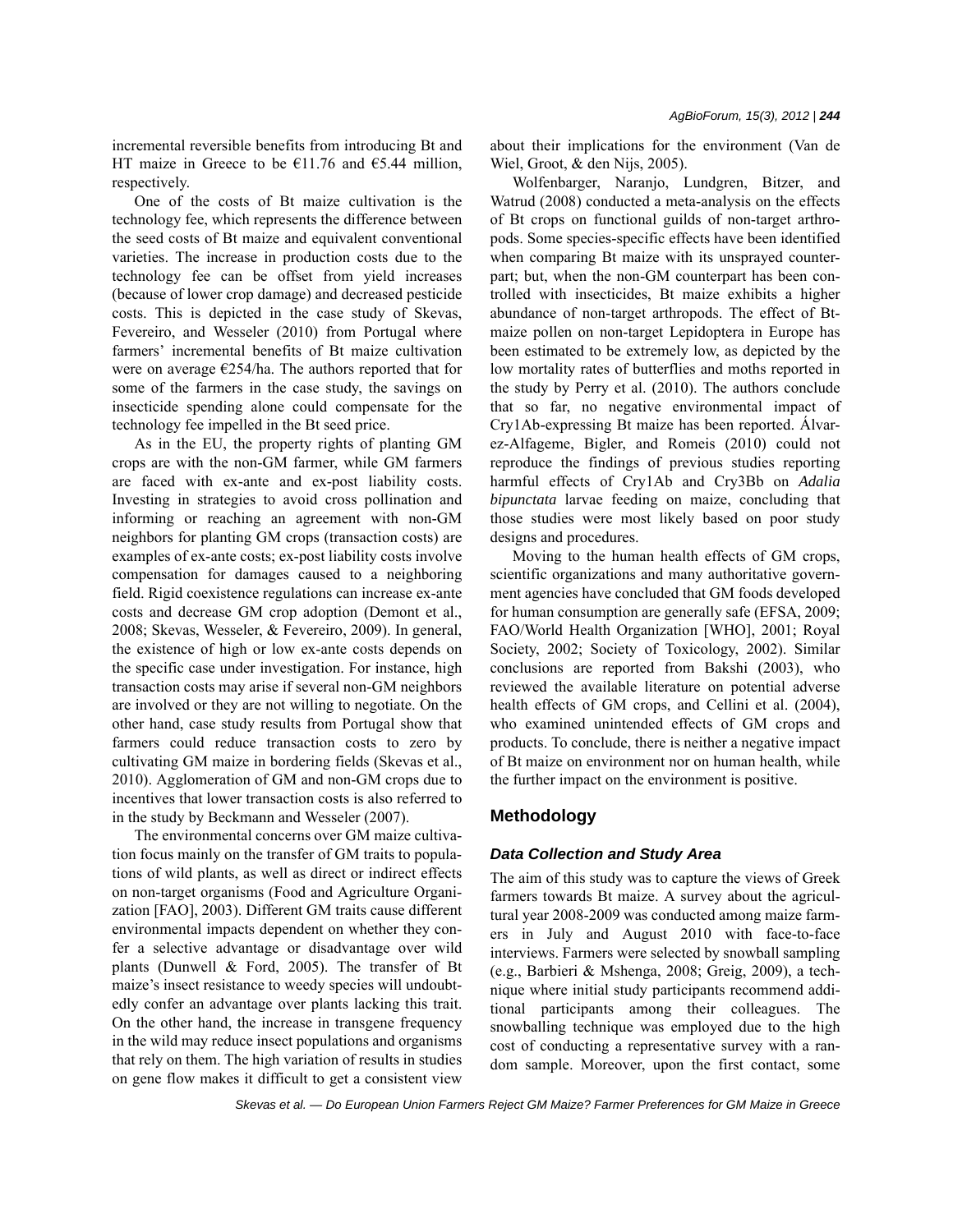incremental reversible benefits from introducing Bt and HT maize in Greece to be  $£11.76$  and  $£5.44$  million, respectively.

One of the costs of Bt maize cultivation is the technology fee, which represents the difference between the seed costs of Bt maize and equivalent conventional varieties. The increase in production costs due to the technology fee can be offset from yield increases (because of lower crop damage) and decreased pesticide costs. This is depicted in the case study of Skevas, Fevereiro, and Wesseler (2010) from Portugal where farmers' incremental benefits of Bt maize cultivation were on average €254/ha. The authors reported that for some of the farmers in the case study, the savings on insecticide spending alone could compensate for the technology fee impelled in the Bt seed price.

As in the EU, the property rights of planting GM crops are with the non-GM farmer, while GM farmers are faced with ex-ante and ex-post liability costs. Investing in strategies to avoid cross pollination and informing or reaching an agreement with non-GM neighbors for planting GM crops (transaction costs) are examples of ex-ante costs; ex-post liability costs involve compensation for damages caused to a neighboring field. Rigid coexistence regulations can increase ex-ante costs and decrease GM crop adoption (Demont et al., 2008; Skevas, Wesseler, & Fevereiro, 2009). In general, the existence of high or low ex-ante costs depends on the specific case under investigation. For instance, high transaction costs may arise if several non-GM neighbors are involved or they are not willing to negotiate. On the other hand, case study results from Portugal show that farmers could reduce transaction costs to zero by cultivating GM maize in bordering fields (Skevas et al., 2010). Agglomeration of GM and non-GM crops due to incentives that lower transaction costs is also referred to in the study by Beckmann and Wesseler (2007).

The environmental concerns over GM maize cultivation focus mainly on the transfer of GM traits to populations of wild plants, as well as direct or indirect effects on non-target organisms (Food and Agriculture Organization [FAO], 2003). Different GM traits cause different environmental impacts dependent on whether they confer a selective advantage or disadvantage over wild plants (Dunwell & Ford, 2005). The transfer of Bt maize's insect resistance to weedy species will undoubtedly confer an advantage over plants lacking this trait. On the other hand, the increase in transgene frequency in the wild may reduce insect populations and organisms that rely on them. The high variation of results in studies on gene flow makes it difficult to get a consistent view about their implications for the environment (Van de Wiel, Groot, & den Nijs, 2005).

Wolfenbarger, Naranjo, Lundgren, Bitzer, and Watrud (2008) conducted a meta-analysis on the effects of Bt crops on functional guilds of non-target arthropods. Some species-specific effects have been identified when comparing Bt maize with its unsprayed counterpart; but, when the non-GM counterpart has been controlled with insecticides, Bt maize exhibits a higher abundance of non-target arthropods. The effect of Btmaize pollen on non-target Lepidoptera in Europe has been estimated to be extremely low, as depicted by the low mortality rates of butterflies and moths reported in the study by Perry et al. (2010). The authors conclude that so far, no negative environmental impact of Cry1Ab-expressing Bt maize has been reported. Álvarez-Alfageme, Bigler, and Romeis (2010) could not reproduce the findings of previous studies reporting harmful effects of Cry1Ab and Cry3Bb on *Adalia bipunctata* larvae feeding on maize, concluding that those studies were most likely based on poor study designs and procedures.

Moving to the human health effects of GM crops, scientific organizations and many authoritative government agencies have concluded that GM foods developed for human consumption are generally safe (EFSA, 2009; FAO/World Health Organization [WHO], 2001; Royal Society, 2002; Society of Toxicology, 2002). Similar conclusions are reported from Bakshi (2003), who reviewed the available literature on potential adverse health effects of GM crops, and Cellini et al. (2004), who examined unintended effects of GM crops and products. To conclude, there is neither a negative impact of Bt maize on environment nor on human health, while the further impact on the environment is positive.

#### **Methodology**

#### *Data Collection and Study Area*

The aim of this study was to capture the views of Greek farmers towards Bt maize. A survey about the agricultural year 2008-2009 was conducted among maize farmers in July and August 2010 with face-to-face interviews. Farmers were selected by snowball sampling (e.g., Barbieri & Mshenga, 2008; Greig, 2009), a technique where initial study participants recommend additional participants among their colleagues. The snowballing technique was employed due to the high cost of conducting a representative survey with a random sample. Moreover, upon the first contact, some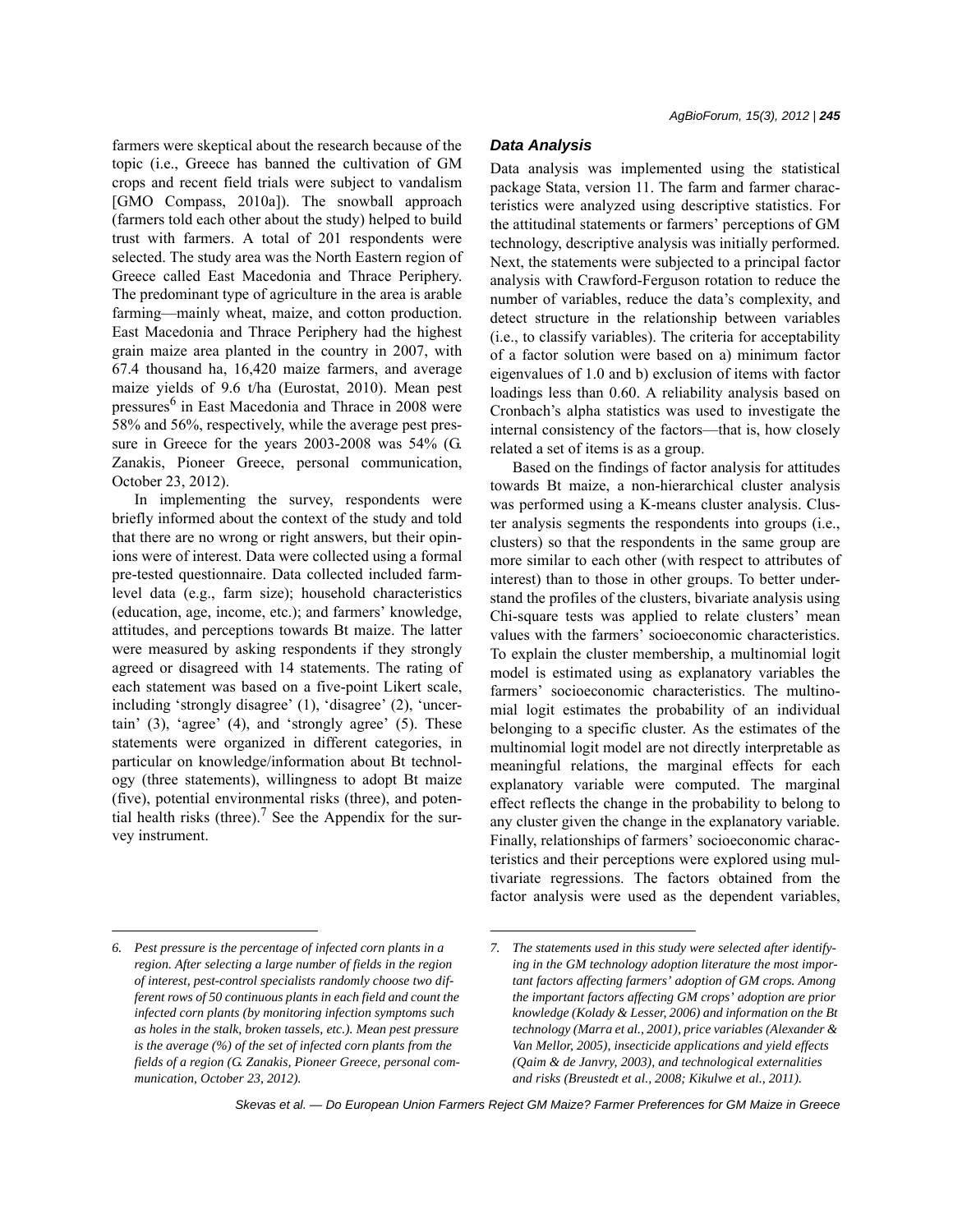farmers were skeptical about the research because of the topic (i.e., Greece has banned the cultivation of GM crops and recent field trials were subject to vandalism [GMO Compass, 2010a]). The snowball approach (farmers told each other about the study) helped to build trust with farmers. A total of 201 respondents were selected. The study area was the North Eastern region of Greece called East Macedonia and Thrace Periphery. The predominant type of agriculture in the area is arable farming—mainly wheat, maize, and cotton production. East Macedonia and Thrace Periphery had the highest grain maize area planted in the country in 2007, with 67.4 thousand ha, 16,420 maize farmers, and average maize yields of 9.6 t/ha (Eurostat, 2010). Mean pest pressures<sup>6</sup> in East Macedonia and Thrace in 2008 were 58% and 56%, respectively, while the average pest pressure in Greece for the years 2003-2008 was 54% (G. Zanakis, Pioneer Greece, personal communication, October 23, 2012).

In implementing the survey, respondents were briefly informed about the context of the study and told that there are no wrong or right answers, but their opinions were of interest. Data were collected using a formal pre-tested questionnaire. Data collected included farmlevel data (e.g., farm size); household characteristics (education, age, income, etc.); and farmers' knowledge, attitudes, and perceptions towards Bt maize. The latter were measured by asking respondents if they strongly agreed or disagreed with 14 statements. The rating of each statement was based on a five-point Likert scale, including 'strongly disagree' (1), 'disagree' (2), 'uncertain' (3), 'agree' (4), and 'strongly agree' (5). These statements were organized in different categories, in particular on knowledge/information about Bt technology (three statements), willingness to adopt Bt maize (five), potential environmental risks (three), and potential health risks (three).<sup>7</sup> See the Appendix for the survey instrument.

# *Data Analysis*

Data analysis was implemented using the statistical package Stata, version 11. The farm and farmer characteristics were analyzed using descriptive statistics. For the attitudinal statements or farmers' perceptions of GM technology, descriptive analysis was initially performed. Next, the statements were subjected to a principal factor analysis with Crawford-Ferguson rotation to reduce the number of variables, reduce the data's complexity, and detect structure in the relationship between variables (i.e., to classify variables). The criteria for acceptability of a factor solution were based on a) minimum factor eigenvalues of 1.0 and b) exclusion of items with factor loadings less than 0.60. A reliability analysis based on Cronbach's alpha statistics was used to investigate the internal consistency of the factors—that is, how closely related a set of items is as a group.

Based on the findings of factor analysis for attitudes towards Bt maize, a non-hierarchical cluster analysis was performed using a K-means cluster analysis. Cluster analysis segments the respondents into groups (i.e., clusters) so that the respondents in the same group are more similar to each other (with respect to attributes of interest) than to those in other groups. To better understand the profiles of the clusters, bivariate analysis using Chi-square tests was applied to relate clusters' mean values with the farmers' socioeconomic characteristics. To explain the cluster membership, a multinomial logit model is estimated using as explanatory variables the farmers' socioeconomic characteristics. The multinomial logit estimates the probability of an individual belonging to a specific cluster. As the estimates of the multinomial logit model are not directly interpretable as meaningful relations, the marginal effects for each explanatory variable were computed. The marginal effect reflects the change in the probability to belong to any cluster given the change in the explanatory variable. Finally, relationships of farmers' socioeconomic characteristics and their perceptions were explored using multivariate regressions. The factors obtained from the factor analysis were used as the dependent variables,

*<sup>6.</sup> Pest pressure is the percentage of infected corn plants in a region. After selecting a large number of fields in the region of interest, pest-control specialists randomly choose two different rows of 50 continuous plants in each field and count the infected corn plants (by monitoring infection symptoms such as holes in the stalk, broken tassels, etc.). Mean pest pressure is the average (%) of the set of infected corn plants from the fields of a region (G. Zanakis, Pioneer Greece, personal communication, October 23, 2012).*

*<sup>7.</sup> The statements used in this study were selected after identifying in the GM technology adoption literature the most important factors affecting farmers' adoption of GM crops. Among the important factors affecting GM crops' adoption are prior knowledge (Kolady & Lesser, 2006) and information on the Bt technology (Marra et al., 2001), price variables (Alexander & Van Mellor, 2005), insecticide applications and yield effects (Qaim & de Janvry, 2003), and technological externalities and risks (Breustedt et al., 2008; Kikulwe et al., 2011).*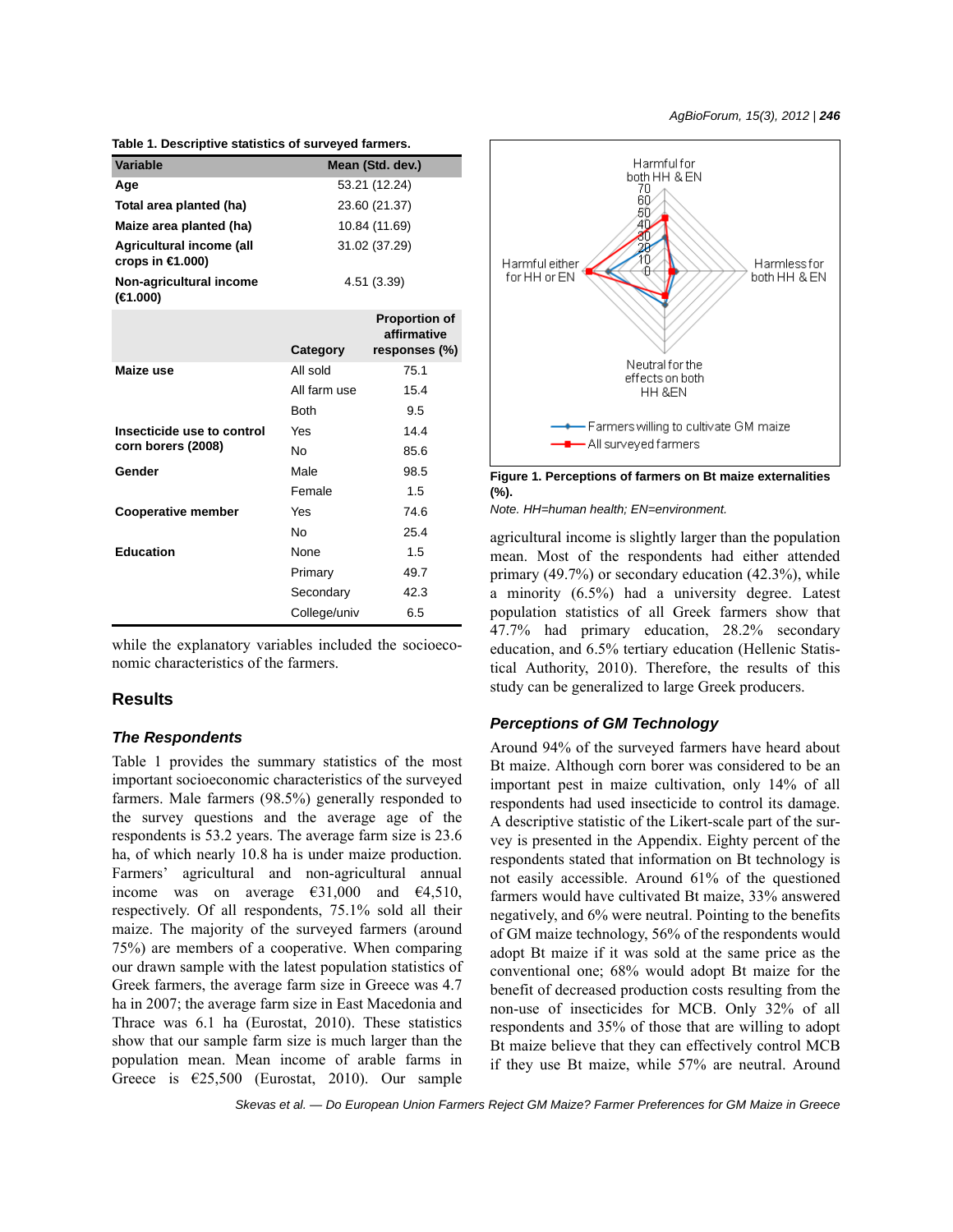| rable 1. Descriptive statistics of surveyed farmers. |               |                                     |  |  |  |
|------------------------------------------------------|---------------|-------------------------------------|--|--|--|
| Variable                                             |               | Mean (Std. dev.)                    |  |  |  |
| Age                                                  | 53.21 (12.24) |                                     |  |  |  |
| Total area planted (ha)                              | 23.60 (21.37) |                                     |  |  |  |
| Maize area planted (ha)                              | 10.84 (11.69) |                                     |  |  |  |
| Agricultural income (all<br>crops in $\in$ 1.000)    | 31.02 (37.29) |                                     |  |  |  |
| Non-agricultural income<br>(€1.000)                  | 4.51 (3.39)   |                                     |  |  |  |
|                                                      |               | <b>Proportion of</b><br>affirmative |  |  |  |
|                                                      | Category      | responses (%)                       |  |  |  |
| Maize use                                            | All sold      | 75.1                                |  |  |  |
|                                                      | All farm use  | 15.4                                |  |  |  |
|                                                      | <b>Both</b>   | 9.5                                 |  |  |  |
| Insecticide use to control                           | Yes           | 14.4                                |  |  |  |
| corn borers (2008)                                   | No            | 85.6                                |  |  |  |
| Gender                                               | Male          | 98.5                                |  |  |  |
|                                                      | Female        | 1.5                                 |  |  |  |
| <b>Cooperative member</b>                            | Yes           | 74.6                                |  |  |  |
|                                                      | No            | 25.4                                |  |  |  |
| <b>Education</b>                                     | None          | 1.5                                 |  |  |  |
|                                                      | Primary       | 49.7                                |  |  |  |
|                                                      | Secondary     | 42.3                                |  |  |  |
|                                                      | College/univ  | 6.5                                 |  |  |  |

**Table 1. Descriptive statistics of surveyed farmers.**

while the explanatory variables included the socioeconomic characteristics of the farmers.

#### **Results**

#### *The Respondents*

Table 1 provides the summary statistics of the most important socioeconomic characteristics of the surveyed farmers. Male farmers (98.5%) generally responded to the survey questions and the average age of the respondents is 53.2 years. The average farm size is 23.6 ha, of which nearly 10.8 ha is under maize production. Farmers' agricultural and non-agricultural annual income was on average  $\epsilon$ 31,000 and  $\epsilon$ 4,510, respectively. Of all respondents, 75.1% sold all their maize. The majority of the surveyed farmers (around 75%) are members of a cooperative. When comparing our drawn sample with the latest population statistics of Greek farmers, the average farm size in Greece was 4.7 ha in 2007; the average farm size in East Macedonia and Thrace was 6.1 ha (Eurostat, 2010). These statistics show that our sample farm size is much larger than the population mean. Mean income of arable farms in Greece is  $£25,500$  (Eurostat, 2010). Our sample



**Figure 1. Perceptions of farmers on Bt maize externalities (%).**

*Note. HH=human health; EN=environment.*

agricultural income is slightly larger than the population mean. Most of the respondents had either attended primary (49.7%) or secondary education (42.3%), while a minority (6.5%) had a university degree. Latest population statistics of all Greek farmers show that 47.7% had primary education, 28.2% secondary education, and 6.5% tertiary education (Hellenic Statistical Authority, 2010). Therefore, the results of this study can be generalized to large Greek producers.

#### *Perceptions of GM Technology*

Around 94% of the surveyed farmers have heard about Bt maize. Although corn borer was considered to be an important pest in maize cultivation, only 14% of all respondents had used insecticide to control its damage. A descriptive statistic of the Likert-scale part of the survey is presented in the Appendix. Eighty percent of the respondents stated that information on Bt technology is not easily accessible. Around 61% of the questioned farmers would have cultivated Bt maize, 33% answered negatively, and 6% were neutral. Pointing to the benefits of GM maize technology, 56% of the respondents would adopt Bt maize if it was sold at the same price as the conventional one; 68% would adopt Bt maize for the benefit of decreased production costs resulting from the non-use of insecticides for MCB. Only 32% of all respondents and 35% of those that are willing to adopt Bt maize believe that they can effectively control MCB if they use Bt maize, while 57% are neutral. Around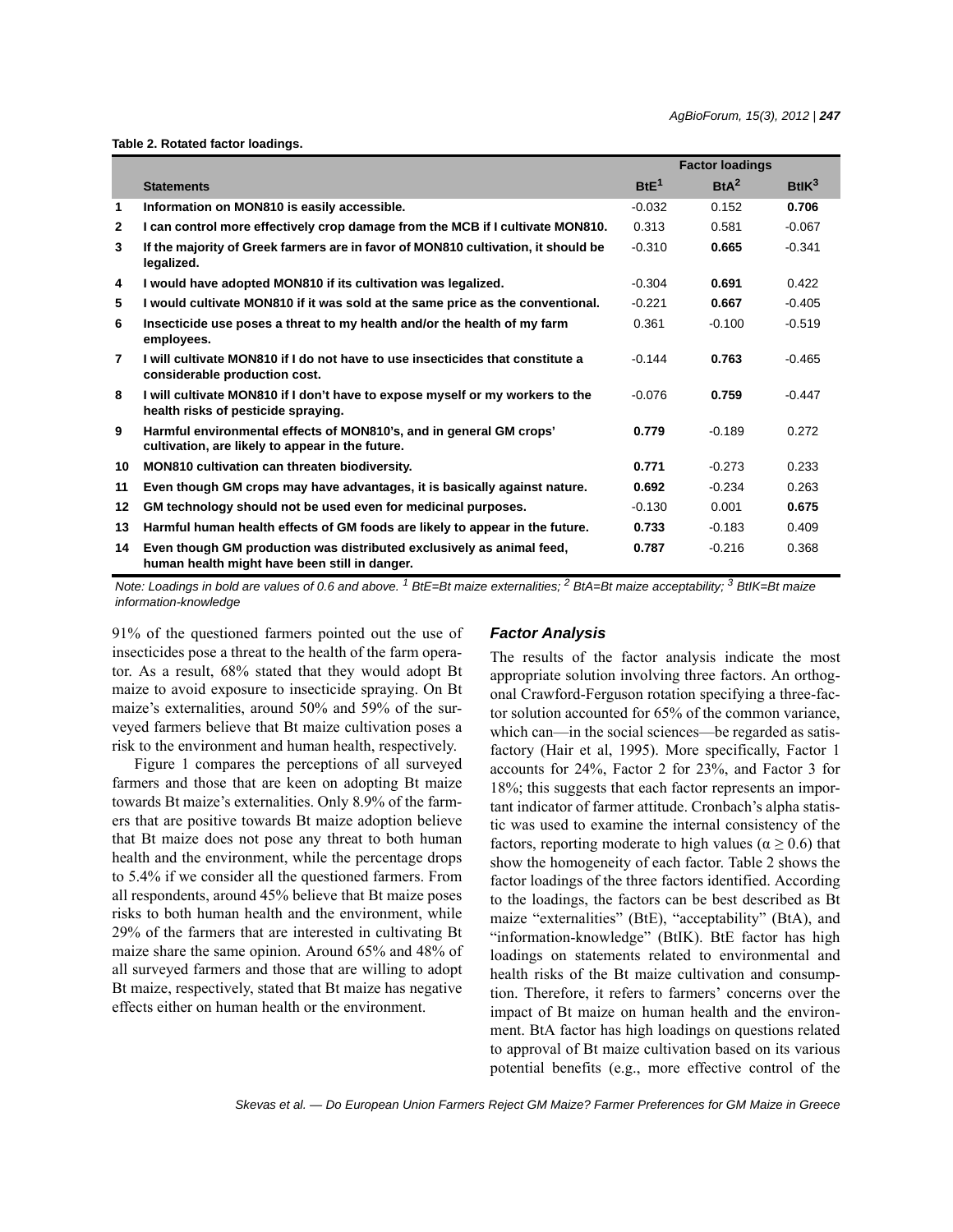**Table 2. Rotated factor loadings.**

|              |                                                                                                                         | <b>Factor loadings</b> |          |                      |
|--------------|-------------------------------------------------------------------------------------------------------------------------|------------------------|----------|----------------------|
|              | <b>Statements</b>                                                                                                       | BtE <sup>1</sup>       | $BtA^2$  | $Bt$ IK <sup>3</sup> |
| 1            | Information on MON810 is easily accessible.                                                                             | $-0.032$               | 0.152    | 0.706                |
| $\mathbf{2}$ | I can control more effectively crop damage from the MCB if I cultivate MON810.                                          | 0.313                  | 0.581    | $-0.067$             |
| 3            | If the majority of Greek farmers are in favor of MON810 cultivation, it should be<br>legalized.                         | $-0.310$               | 0.665    | $-0.341$             |
| 4            | I would have adopted MON810 if its cultivation was legalized.                                                           | $-0.304$               | 0.691    | 0.422                |
| 5            | I would cultivate MON810 if it was sold at the same price as the conventional.                                          | $-0.221$               | 0.667    | $-0.405$             |
| 6            | Insecticide use poses a threat to my health and/or the health of my farm<br>employees.                                  | 0.361                  | $-0.100$ | $-0.519$             |
| 7            | I will cultivate MON810 if I do not have to use insecticides that constitute a<br>considerable production cost.         | $-0.144$               | 0.763    | $-0.465$             |
| 8            | I will cultivate MON810 if I don't have to expose myself or my workers to the<br>health risks of pesticide spraying.    | $-0.076$               | 0.759    | $-0.447$             |
| 9            | Harmful environmental effects of MON810's, and in general GM crops'<br>cultivation, are likely to appear in the future. | 0.779                  | $-0.189$ | 0.272                |
| 10           | <b>MON810 cultivation can threaten biodiversity.</b>                                                                    | 0.771                  | $-0.273$ | 0.233                |
| 11           | Even though GM crops may have advantages, it is basically against nature.                                               | 0.692                  | $-0.234$ | 0.263                |
| 12           | GM technology should not be used even for medicinal purposes.                                                           | $-0.130$               | 0.001    | 0.675                |
| 13           | Harmful human health effects of GM foods are likely to appear in the future.                                            | 0.733                  | $-0.183$ | 0.409                |
| 14           | Even though GM production was distributed exclusively as animal feed,<br>human health might have been still in danger.  | 0.787                  | $-0.216$ | 0.368                |

*Note: Loadings in bold are values of 0.6 and above. 1 BtE=Bt maize externalities; 2 BtA=Bt maize acceptability; 3 BtIK=Bt maize information-knowledge*

91% of the questioned farmers pointed out the use of insecticides pose a threat to the health of the farm operator. As a result, 68% stated that they would adopt Bt maize to avoid exposure to insecticide spraying. On Bt maize's externalities, around 50% and 59% of the surveyed farmers believe that Bt maize cultivation poses a risk to the environment and human health, respectively.

Figure 1 compares the perceptions of all surveyed farmers and those that are keen on adopting Bt maize towards Bt maize's externalities. Only 8.9% of the farmers that are positive towards Bt maize adoption believe that Bt maize does not pose any threat to both human health and the environment, while the percentage drops to 5.4% if we consider all the questioned farmers. From all respondents, around 45% believe that Bt maize poses risks to both human health and the environment, while 29% of the farmers that are interested in cultivating Bt maize share the same opinion. Around 65% and 48% of all surveyed farmers and those that are willing to adopt Bt maize, respectively, stated that Bt maize has negative effects either on human health or the environment.

#### *Factor Analysis*

The results of the factor analysis indicate the most appropriate solution involving three factors. An orthogonal Crawford-Ferguson rotation specifying a three-factor solution accounted for 65% of the common variance, which can—in the social sciences—be regarded as satisfactory (Hair et al, 1995). More specifically, Factor 1 accounts for 24%, Factor 2 for 23%, and Factor 3 for 18%; this suggests that each factor represents an important indicator of farmer attitude. Cronbach's alpha statistic was used to examine the internal consistency of the factors, reporting moderate to high values ( $\alpha \ge 0.6$ ) that show the homogeneity of each factor. Table 2 shows the factor loadings of the three factors identified. According to the loadings, the factors can be best described as Bt maize "externalities" (BtE), "acceptability" (BtA), and "information-knowledge" (BtIK). BtE factor has high loadings on statements related to environmental and health risks of the Bt maize cultivation and consumption. Therefore, it refers to farmers' concerns over the impact of Bt maize on human health and the environment. BtA factor has high loadings on questions related to approval of Bt maize cultivation based on its various potential benefits (e.g., more effective control of the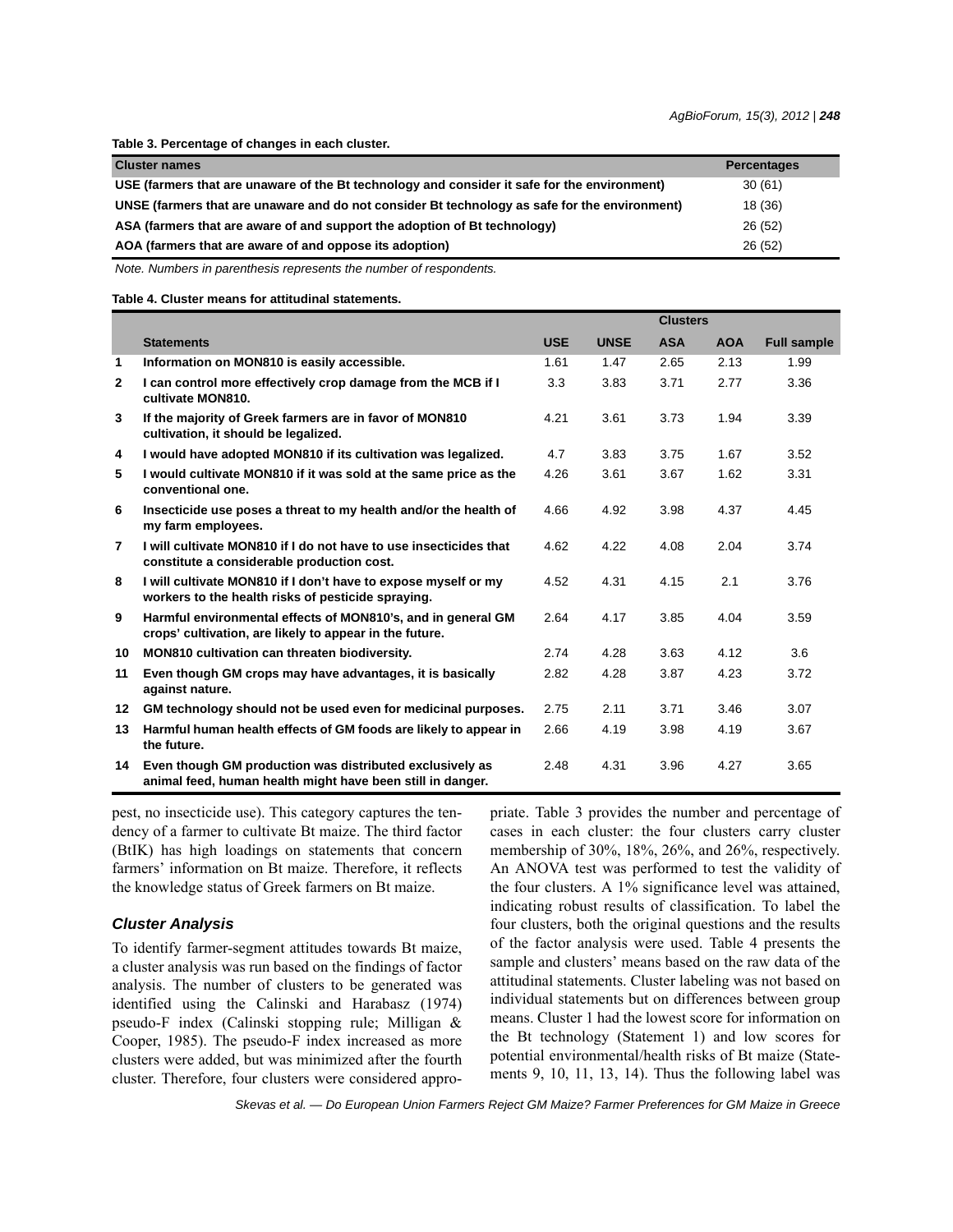**Table 3. Percentage of changes in each cluster.**

| <b>Cluster names</b>                                                                          | <b>Percentages</b> |
|-----------------------------------------------------------------------------------------------|--------------------|
| USE (farmers that are unaware of the Bt technology and consider it safe for the environment)  | 30(61)             |
| UNSE (farmers that are unaware and do not consider Bt technology as safe for the environment) | 18 (36)            |
| ASA (farmers that are aware of and support the adoption of Bt technology)                     | 26(52)             |
| AOA (farmers that are aware of and oppose its adoption)                                       | 26(52)             |

*Note. Numbers in parenthesis represents the number of respondents.*

**Table 4. Cluster means for attitudinal statements.**

|                |                                                                                                                         |            |             | <b>Clusters</b> |            |                    |
|----------------|-------------------------------------------------------------------------------------------------------------------------|------------|-------------|-----------------|------------|--------------------|
|                | <b>Statements</b>                                                                                                       | <b>USE</b> | <b>UNSE</b> | <b>ASA</b>      | <b>AOA</b> | <b>Full sample</b> |
| 1              | Information on MON810 is easily accessible.                                                                             | 1.61       | 1.47        | 2.65            | 2.13       | 1.99               |
| $\mathbf{2}$   | I can control more effectively crop damage from the MCB if I<br>cultivate MON810.                                       | 3.3        | 3.83        | 3.71            | 2.77       | 3.36               |
| 3              | If the majority of Greek farmers are in favor of MON810<br>cultivation, it should be legalized.                         | 4.21       | 3.61        | 3.73            | 1.94       | 3.39               |
| 4              | I would have adopted MON810 if its cultivation was legalized.                                                           | 4.7        | 3.83        | 3.75            | 1.67       | 3.52               |
| 5              | I would cultivate MON810 if it was sold at the same price as the<br>conventional one.                                   | 4.26       | 3.61        | 3.67            | 1.62       | 3.31               |
| 6              | Insecticide use poses a threat to my health and/or the health of<br>my farm employees.                                  | 4.66       | 4.92        | 3.98            | 4.37       | 4.45               |
| $\overline{7}$ | I will cultivate MON810 if I do not have to use insecticides that<br>constitute a considerable production cost.         | 4.62       | 4.22        | 4.08            | 2.04       | 3.74               |
| 8              | I will cultivate MON810 if I don't have to expose myself or my<br>workers to the health risks of pesticide spraying.    | 4.52       | 4.31        | 4.15            | 2.1        | 3.76               |
| 9              | Harmful environmental effects of MON810's, and in general GM<br>crops' cultivation, are likely to appear in the future. | 2.64       | 4.17        | 3.85            | 4.04       | 3.59               |
| 10             | <b>MON810 cultivation can threaten biodiversity.</b>                                                                    | 2.74       | 4.28        | 3.63            | 4.12       | 3.6                |
| 11             | Even though GM crops may have advantages, it is basically<br>against nature.                                            | 2.82       | 4.28        | 3.87            | 4.23       | 3.72               |
| 12             | GM technology should not be used even for medicinal purposes.                                                           | 2.75       | 2.11        | 3.71            | 3.46       | 3.07               |
| 13             | Harmful human health effects of GM foods are likely to appear in<br>the future.                                         | 2.66       | 4.19        | 3.98            | 4.19       | 3.67               |
| 14             | Even though GM production was distributed exclusively as<br>animal feed, human health might have been still in danger.  | 2.48       | 4.31        | 3.96            | 4.27       | 3.65               |

pest, no insecticide use). This category captures the tendency of a farmer to cultivate Bt maize. The third factor (BtIK) has high loadings on statements that concern farmers' information on Bt maize. Therefore, it reflects the knowledge status of Greek farmers on Bt maize.

#### *Cluster Analysis*

To identify farmer-segment attitudes towards Bt maize, a cluster analysis was run based on the findings of factor analysis. The number of clusters to be generated was identified using the Calinski and Harabasz (1974) pseudo-F index (Calinski stopping rule; Milligan & Cooper, 1985). The pseudo-F index increased as more clusters were added, but was minimized after the fourth cluster. Therefore, four clusters were considered appropriate. Table 3 provides the number and percentage of cases in each cluster: the four clusters carry cluster membership of 30%, 18%, 26%, and 26%, respectively. An ANOVA test was performed to test the validity of the four clusters. A 1% significance level was attained, indicating robust results of classification. To label the four clusters, both the original questions and the results of the factor analysis were used. Table 4 presents the sample and clusters' means based on the raw data of the attitudinal statements. Cluster labeling was not based on individual statements but on differences between group means. Cluster 1 had the lowest score for information on the Bt technology (Statement 1) and low scores for potential environmental/health risks of Bt maize (Statements 9, 10, 11, 13, 14). Thus the following label was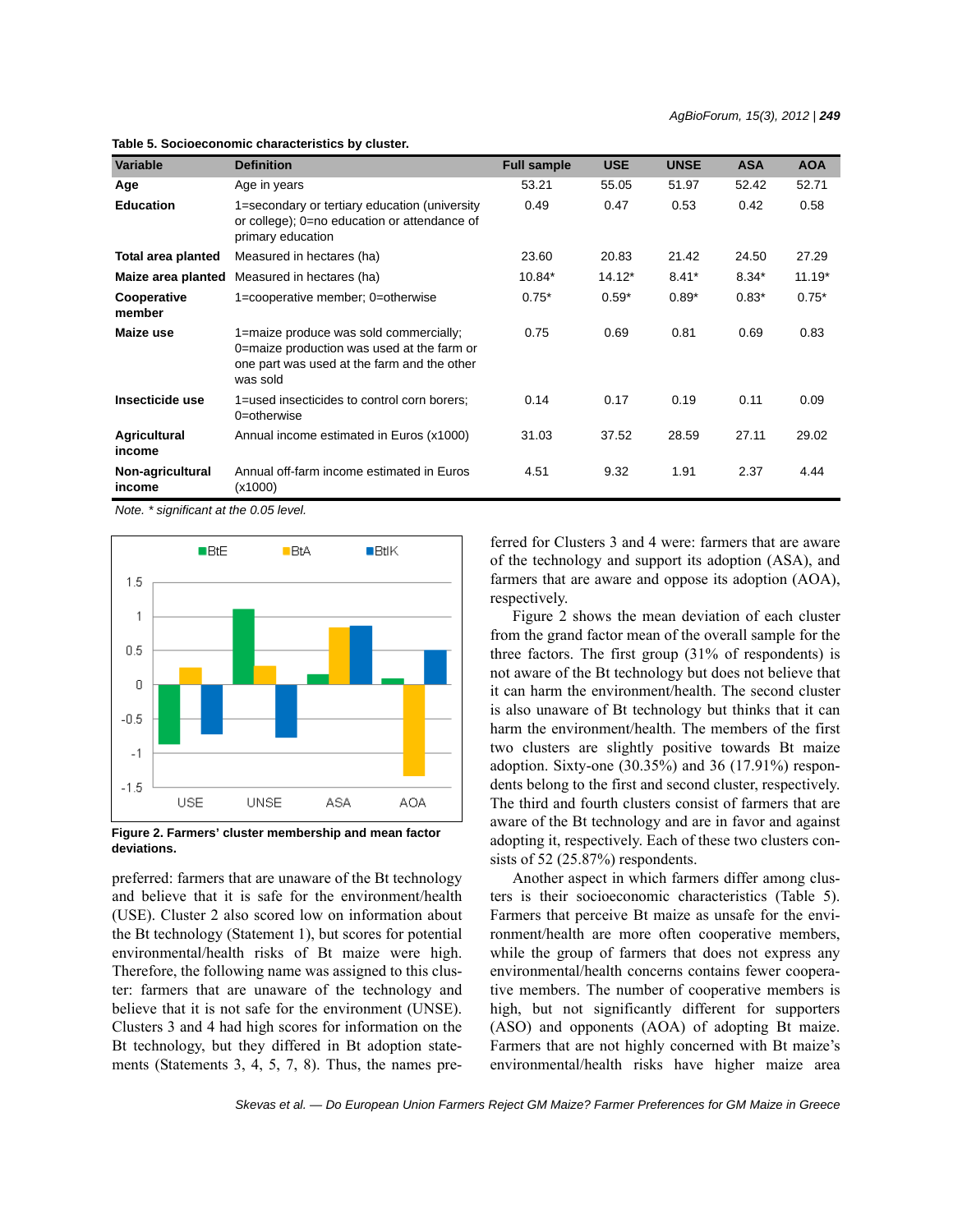| <b>Variable</b>            | <b>Definition</b>                                                                                                                               | <b>Full sample</b> | <b>USE</b> | <b>UNSE</b> | <b>ASA</b> | <b>AOA</b> |
|----------------------------|-------------------------------------------------------------------------------------------------------------------------------------------------|--------------------|------------|-------------|------------|------------|
| Age                        | Age in years                                                                                                                                    | 53.21              | 55.05      | 51.97       | 52.42      | 52.71      |
| <b>Education</b>           | 1=secondary or tertiary education (university<br>or college); 0=no education or attendance of<br>primary education                              | 0.49               | 0.47       | 0.53        | 0.42       | 0.58       |
| Total area planted         | Measured in hectares (ha)                                                                                                                       | 23.60              | 20.83      | 21.42       | 24.50      | 27.29      |
| Maize area planted         | Measured in hectares (ha)                                                                                                                       | 10.84*             | $14.12*$   | $8.41*$     | $8.34*$    | $11.19*$   |
| Cooperative<br>member      | 1=cooperative member; 0=otherwise                                                                                                               | $0.75*$            | $0.59*$    | $0.89*$     | $0.83*$    | $0.75*$    |
| Maize use                  | 1=maize produce was sold commercially;<br>0=maize production was used at the farm or<br>one part was used at the farm and the other<br>was sold | 0.75               | 0.69       | 0.81        | 0.69       | 0.83       |
| Insecticide use            | 1=used insecticides to control corn borers;<br>0=otherwise                                                                                      | 0.14               | 0.17       | 0.19        | 0.11       | 0.09       |
| Agricultural<br>income     | Annual income estimated in Euros (x1000)                                                                                                        | 31.03              | 37.52      | 28.59       | 27.11      | 29.02      |
| Non-agricultural<br>income | Annual off-farm income estimated in Euros<br>(x1000)                                                                                            | 4.51               | 9.32       | 1.91        | 2.37       | 4.44       |

**Table 5. Socioeconomic characteristics by cluster.**

*Note. \* significant at the 0.05 level.*



**Figure 2. Farmers' cluster membership and mean factor deviations.**

preferred: farmers that are unaware of the Bt technology and believe that it is safe for the environment/health (USE). Cluster 2 also scored low on information about the Bt technology (Statement 1), but scores for potential environmental/health risks of Bt maize were high. Therefore, the following name was assigned to this cluster: farmers that are unaware of the technology and believe that it is not safe for the environment (UNSE). Clusters 3 and 4 had high scores for information on the Bt technology, but they differed in Bt adoption statements (Statements 3, 4, 5, 7, 8). Thus, the names preferred for Clusters 3 and 4 were: farmers that are aware of the technology and support its adoption (ASA), and farmers that are aware and oppose its adoption (AOA), respectively.

Figure 2 shows the mean deviation of each cluster from the grand factor mean of the overall sample for the three factors. The first group (31% of respondents) is not aware of the Bt technology but does not believe that it can harm the environment/health. The second cluster is also unaware of Bt technology but thinks that it can harm the environment/health. The members of the first two clusters are slightly positive towards Bt maize adoption. Sixty-one (30.35%) and 36 (17.91%) respondents belong to the first and second cluster, respectively. The third and fourth clusters consist of farmers that are aware of the Bt technology and are in favor and against adopting it, respectively. Each of these two clusters consists of 52 (25.87%) respondents.

Another aspect in which farmers differ among clusters is their socioeconomic characteristics (Table 5). Farmers that perceive Bt maize as unsafe for the environment/health are more often cooperative members, while the group of farmers that does not express any environmental/health concerns contains fewer cooperative members. The number of cooperative members is high, but not significantly different for supporters (ASO) and opponents (AOA) of adopting Bt maize. Farmers that are not highly concerned with Bt maize's environmental/health risks have higher maize area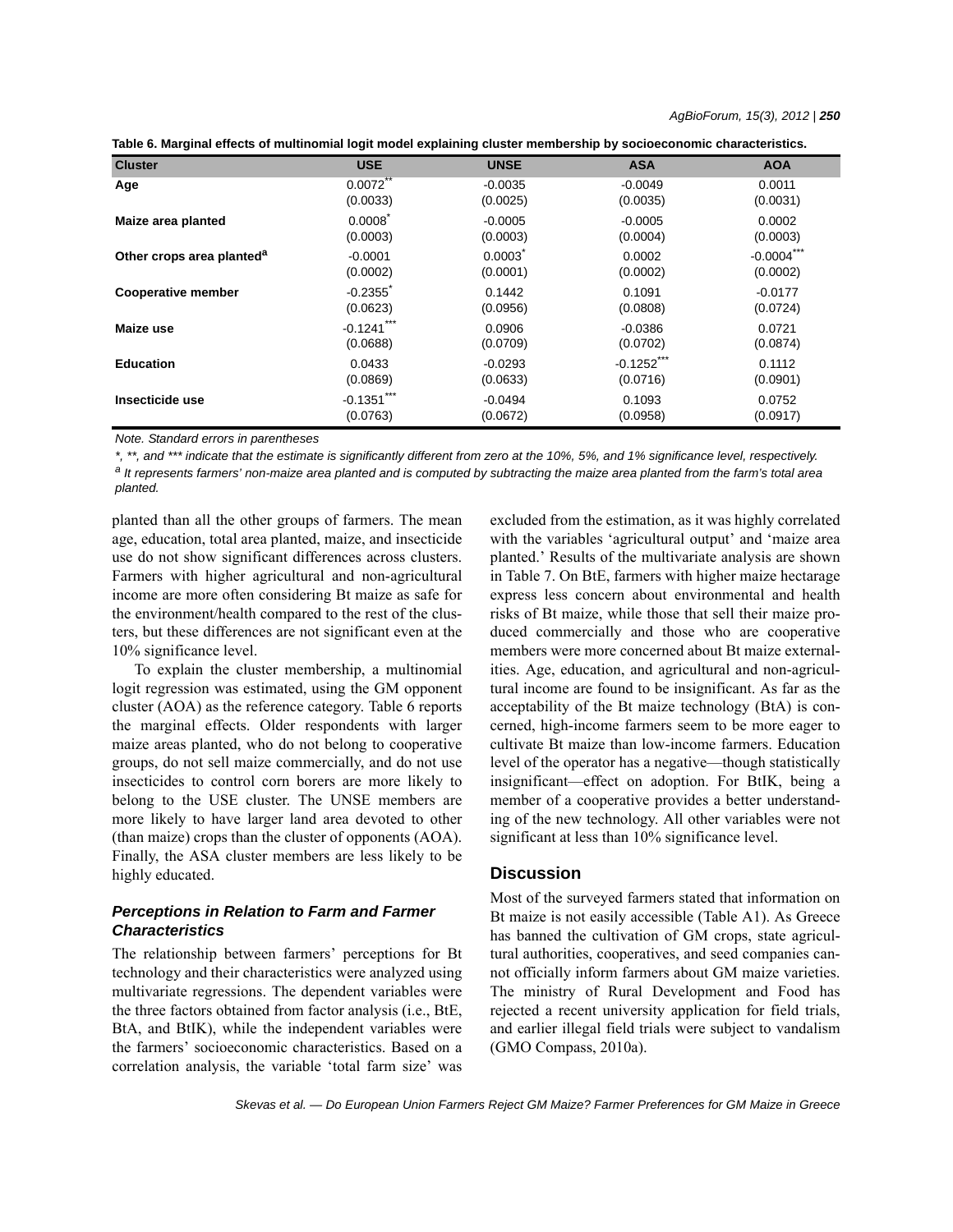| Table 6. Marginal effects of multinomial logit model explaining cluster membership by socioeconomic characteristics. |  |  |  |
|----------------------------------------------------------------------------------------------------------------------|--|--|--|
|----------------------------------------------------------------------------------------------------------------------|--|--|--|

| <b>Cluster</b>                        | <b>USE</b>             | <b>UNSE</b> | <b>ASA</b>    | <b>AOA</b>    |
|---------------------------------------|------------------------|-------------|---------------|---------------|
| Age                                   | 0.0072                 | $-0.0035$   | $-0.0049$     | 0.0011        |
|                                       | (0.0033)               | (0.0025)    | (0.0035)      | (0.0031)      |
| Maize area planted                    | 0.0008                 | $-0.0005$   | $-0.0005$     | 0.0002        |
|                                       | (0.0003)               | (0.0003)    | (0.0004)      | (0.0003)      |
| Other crops area planted <sup>a</sup> | $-0.0001$              | 0.0003      | 0.0002        | $-0.0004$ *** |
|                                       | (0.0002)               | (0.0001)    | (0.0002)      | (0.0002)      |
| <b>Cooperative member</b>             | $-0.2355$ <sup>*</sup> | 0.1442      | 0.1091        | $-0.0177$     |
|                                       | (0.0623)               | (0.0956)    | (0.0808)      | (0.0724)      |
| Maize use                             | $-0.1241***$           | 0.0906      | $-0.0386$     | 0.0721        |
|                                       | (0.0688)               | (0.0709)    | (0.0702)      | (0.0874)      |
| <b>Education</b>                      | 0.0433                 | $-0.0293$   | $-0.1252$ *** | 0.1112        |
|                                       | (0.0869)               | (0.0633)    | (0.0716)      | (0.0901)      |
| Insecticide use                       | $-0.1351***$           | $-0.0494$   | 0.1093        | 0.0752        |
|                                       | (0.0763)               | (0.0672)    | (0.0958)      | (0.0917)      |

*Note. Standard errors in parentheses*

*\*, \*\*, and \*\*\* indicate that the estimate is significantly different from zero at the 10%, 5%, and 1% significance level, respectively. a It represents farmers' non-maize area planted and is computed by subtracting the maize area planted from the farm's total area planted.*

planted than all the other groups of farmers. The mean age, education, total area planted, maize, and insecticide use do not show significant differences across clusters. Farmers with higher agricultural and non-agricultural income are more often considering Bt maize as safe for the environment/health compared to the rest of the clusters, but these differences are not significant even at the 10% significance level.

To explain the cluster membership, a multinomial logit regression was estimated, using the GM opponent cluster (AOA) as the reference category. Table 6 reports the marginal effects. Older respondents with larger maize areas planted, who do not belong to cooperative groups, do not sell maize commercially, and do not use insecticides to control corn borers are more likely to belong to the USE cluster. The UNSE members are more likely to have larger land area devoted to other (than maize) crops than the cluster of opponents (AOA). Finally, the ASA cluster members are less likely to be highly educated.

# *Perceptions in Relation to Farm and Farmer Characteristics*

The relationship between farmers' perceptions for Bt technology and their characteristics were analyzed using multivariate regressions. The dependent variables were the three factors obtained from factor analysis (i.e., BtE, BtA, and BtIK), while the independent variables were the farmers' socioeconomic characteristics. Based on a correlation analysis, the variable 'total farm size' was excluded from the estimation, as it was highly correlated with the variables 'agricultural output' and 'maize area planted.' Results of the multivariate analysis are shown in Table 7. On BtE, farmers with higher maize hectarage express less concern about environmental and health risks of Bt maize, while those that sell their maize produced commercially and those who are cooperative members were more concerned about Bt maize externalities. Age, education, and agricultural and non-agricultural income are found to be insignificant. As far as the acceptability of the Bt maize technology (BtA) is concerned, high-income farmers seem to be more eager to cultivate Bt maize than low-income farmers. Education level of the operator has a negative—though statistically insignificant—effect on adoption. For BtIK, being a member of a cooperative provides a better understanding of the new technology. All other variables were not significant at less than 10% significance level.

### **Discussion**

Most of the surveyed farmers stated that information on Bt maize is not easily accessible (Table A1). As Greece has banned the cultivation of GM crops, state agricultural authorities, cooperatives, and seed companies cannot officially inform farmers about GM maize varieties. The ministry of Rural Development and Food has rejected a recent university application for field trials, and earlier illegal field trials were subject to vandalism (GMO Compass, 2010a).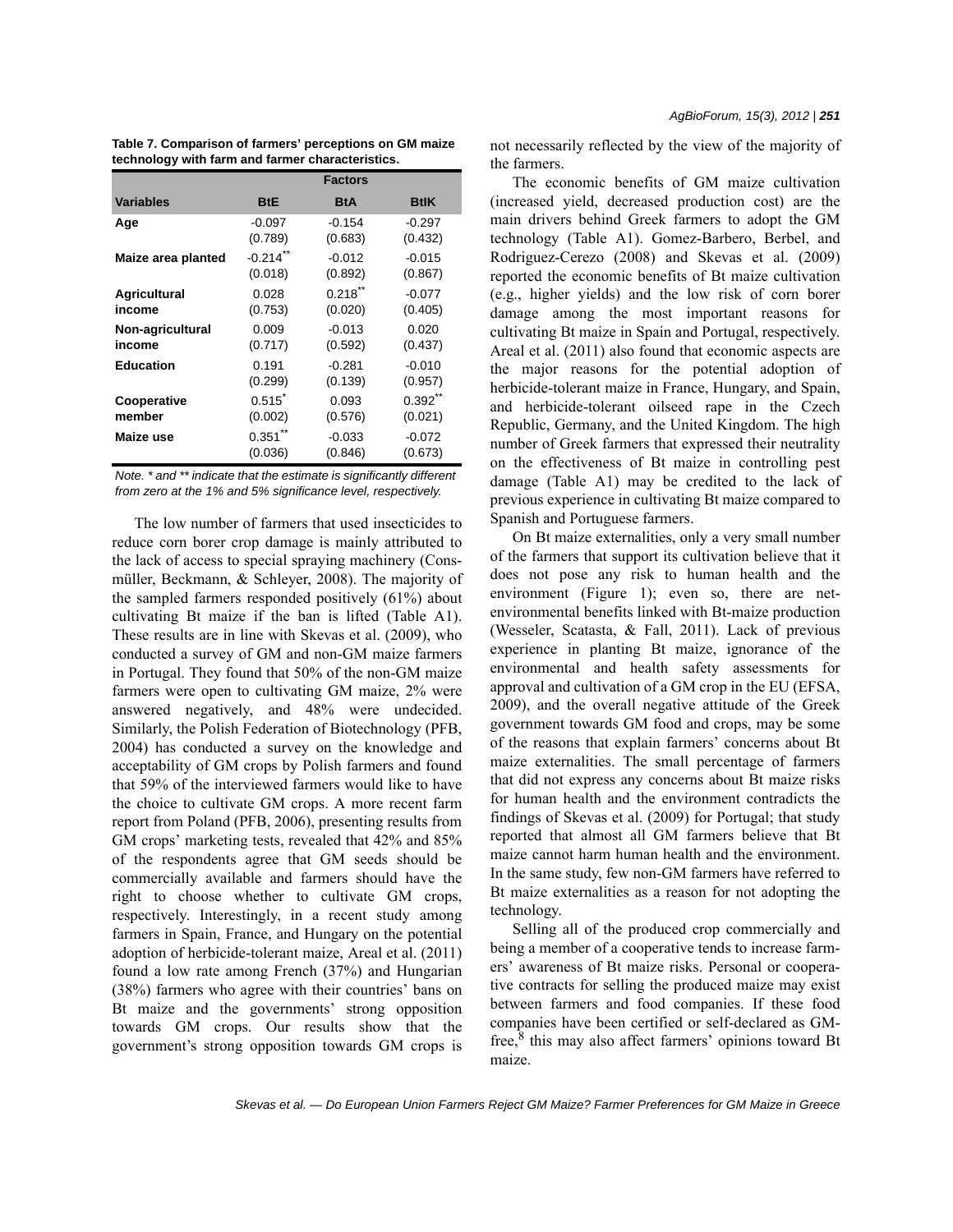|                     | <b>Factors</b>         |            |             |  |  |
|---------------------|------------------------|------------|-------------|--|--|
| <b>Variables</b>    | <b>BtE</b>             | <b>BtA</b> | <b>BtlK</b> |  |  |
| Age                 | $-0.097$               | $-0.154$   | $-0.297$    |  |  |
|                     | (0.789)                | (0.683)    | (0.432)     |  |  |
| Maize area planted  | $-0.214$ <sup>**</sup> | $-0.012$   | $-0.015$    |  |  |
|                     | (0.018)                | (0.892)    | (0.867)     |  |  |
| <b>Agricultural</b> | 0.028                  | $0.218$ ** | $-0.077$    |  |  |
| income              | (0.753)                | (0.020)    | (0.405)     |  |  |
| Non-agricultural    | 0.009                  | $-0.013$   | 0.020       |  |  |
| income              | (0.717)                | (0.592)    | (0.437)     |  |  |
| <b>Education</b>    | 0.191                  | $-0.281$   | $-0.010$    |  |  |
|                     | (0.299)                | (0.139)    | (0.957)     |  |  |
| Cooperative         | 0.515                  | 0.093      | $0.392$ **  |  |  |
| member              | (0.002)                | (0.576)    | (0.021)     |  |  |
| Maize use           | $0.351$ **             | $-0.033$   | $-0.072$    |  |  |
|                     | (0.036)                | (0.846)    | (0.673)     |  |  |

**Table 7. Comparison of farmers' perceptions on GM maize technology with farm and farmer characteristics.**

*Note. \* and \*\* indicate that the estimate is significantly different from zero at the 1% and 5% significance level, respectively.*

The low number of farmers that used insecticides to reduce corn borer crop damage is mainly attributed to the lack of access to special spraying machinery (Consmüller, Beckmann, & Schleyer, 2008). The majority of the sampled farmers responded positively (61%) about cultivating Bt maize if the ban is lifted (Table A1). These results are in line with Skevas et al. (2009), who conducted a survey of GM and non-GM maize farmers in Portugal. They found that 50% of the non-GM maize farmers were open to cultivating GM maize, 2% were answered negatively, and 48% were undecided. Similarly, the Polish Federation of Biotechnology (PFB, 2004) has conducted a survey on the knowledge and acceptability of GM crops by Polish farmers and found that 59% of the interviewed farmers would like to have the choice to cultivate GM crops. A more recent farm report from Poland (PFB, 2006), presenting results from GM crops' marketing tests, revealed that 42% and 85% of the respondents agree that GM seeds should be commercially available and farmers should have the right to choose whether to cultivate GM crops, respectively. Interestingly, in a recent study among farmers in Spain, France, and Hungary on the potential adoption of herbicide-tolerant maize, Areal et al. (2011) found a low rate among French (37%) and Hungarian (38%) farmers who agree with their countries' bans on Bt maize and the governments' strong opposition towards GM crops. Our results show that the government's strong opposition towards GM crops is *AgBioForum, 15(3), 2012 | 251*

not necessarily reflected by the view of the majority of the farmers.

The economic benefits of GM maize cultivation (increased yield, decreased production cost) are the main drivers behind Greek farmers to adopt the GM technology (Table A1). Gomez-Barbero, Berbel, and Rodriguez-Cerezo (2008) and Skevas et al. (2009) reported the economic benefits of Bt maize cultivation (e.g., higher yields) and the low risk of corn borer damage among the most important reasons for cultivating Bt maize in Spain and Portugal, respectively. Areal et al. (2011) also found that economic aspects are the major reasons for the potential adoption of herbicide-tolerant maize in France, Hungary, and Spain, and herbicide-tolerant oilseed rape in the Czech Republic, Germany, and the United Kingdom. The high number of Greek farmers that expressed their neutrality on the effectiveness of Bt maize in controlling pest damage (Table A1) may be credited to the lack of previous experience in cultivating Bt maize compared to Spanish and Portuguese farmers.

On Bt maize externalities, only a very small number of the farmers that support its cultivation believe that it does not pose any risk to human health and the environment (Figure 1); even so, there are netenvironmental benefits linked with Bt-maize production (Wesseler, Scatasta, & Fall, 2011). Lack of previous experience in planting Bt maize, ignorance of the environmental and health safety assessments for approval and cultivation of a GM crop in the EU (EFSA, 2009), and the overall negative attitude of the Greek government towards GM food and crops, may be some of the reasons that explain farmers' concerns about Bt maize externalities. The small percentage of farmers that did not express any concerns about Bt maize risks for human health and the environment contradicts the findings of Skevas et al. (2009) for Portugal; that study reported that almost all GM farmers believe that Bt maize cannot harm human health and the environment. In the same study, few non-GM farmers have referred to Bt maize externalities as a reason for not adopting the technology.

Selling all of the produced crop commercially and being a member of a cooperative tends to increase farmers' awareness of Bt maize risks. Personal or cooperative contracts for selling the produced maize may exist between farmers and food companies. If these food companies have been certified or self-declared as GMfree,<sup>8</sup> this may also affect farmers' opinions toward Bt maize.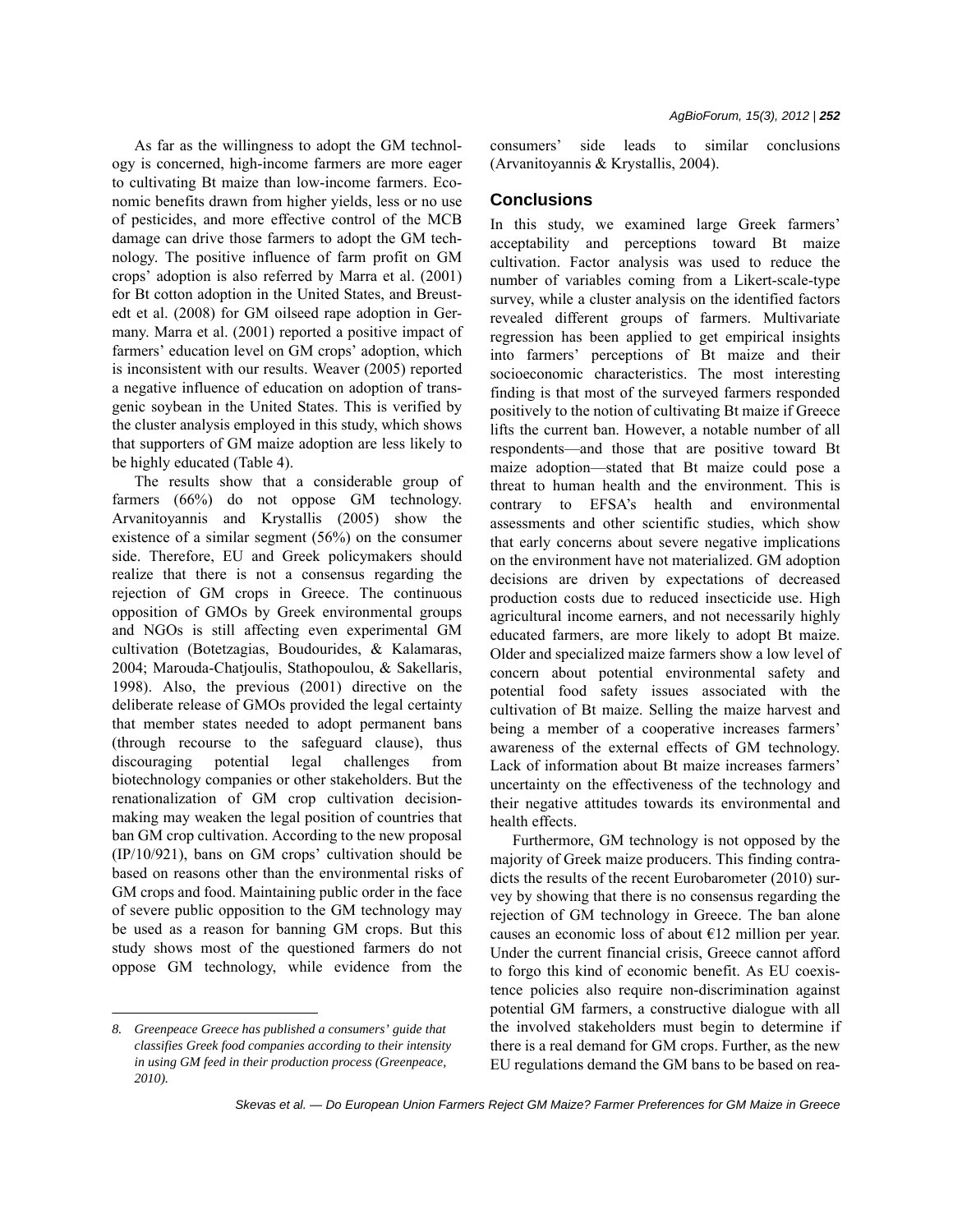As far as the willingness to adopt the GM technology is concerned, high-income farmers are more eager to cultivating Bt maize than low-income farmers. Economic benefits drawn from higher yields, less or no use of pesticides, and more effective control of the MCB damage can drive those farmers to adopt the GM technology. The positive influence of farm profit on GM crops' adoption is also referred by Marra et al. (2001) for Bt cotton adoption in the United States, and Breustedt et al. (2008) for GM oilseed rape adoption in Germany. Marra et al. (2001) reported a positive impact of farmers' education level on GM crops' adoption, which is inconsistent with our results. Weaver (2005) reported a negative influence of education on adoption of transgenic soybean in the United States. This is verified by the cluster analysis employed in this study, which shows that supporters of GM maize adoption are less likely to be highly educated (Table 4).

The results show that a considerable group of farmers (66%) do not oppose GM technology. Arvanitoyannis and Krystallis (2005) show the existence of a similar segment (56%) on the consumer side. Therefore, EU and Greek policymakers should realize that there is not a consensus regarding the rejection of GM crops in Greece. The continuous opposition of GMOs by Greek environmental groups and NGOs is still affecting even experimental GM cultivation (Botetzagias, Boudourides, & Kalamaras, 2004; Marouda-Chatjoulis, Stathopoulou, & Sakellaris, 1998). Also, the previous (2001) directive on the deliberate release of GMOs provided the legal certainty that member states needed to adopt permanent bans (through recourse to the safeguard clause), thus discouraging potential legal challenges from biotechnology companies or other stakeholders. But the renationalization of GM crop cultivation decisionmaking may weaken the legal position of countries that ban GM crop cultivation. According to the new proposal (IP/10/921), bans on GM crops' cultivation should be based on reasons other than the environmental risks of GM crops and food. Maintaining public order in the face of severe public opposition to the GM technology may be used as a reason for banning GM crops. But this study shows most of the questioned farmers do not oppose GM technology, while evidence from the

consumers' side leads to similar conclusions (Arvanitoyannis & Krystallis, 2004).

# **Conclusions**

In this study, we examined large Greek farmers' acceptability and perceptions toward Bt maize cultivation. Factor analysis was used to reduce the number of variables coming from a Likert-scale-type survey, while a cluster analysis on the identified factors revealed different groups of farmers. Multivariate regression has been applied to get empirical insights into farmers' perceptions of Bt maize and their socioeconomic characteristics. The most interesting finding is that most of the surveyed farmers responded positively to the notion of cultivating Bt maize if Greece lifts the current ban. However, a notable number of all respondents—and those that are positive toward Bt maize adoption—stated that Bt maize could pose a threat to human health and the environment. This is contrary to EFSA's health and environmental assessments and other scientific studies, which show that early concerns about severe negative implications on the environment have not materialized. GM adoption decisions are driven by expectations of decreased production costs due to reduced insecticide use. High agricultural income earners, and not necessarily highly educated farmers, are more likely to adopt Bt maize. Older and specialized maize farmers show a low level of concern about potential environmental safety and potential food safety issues associated with the cultivation of Bt maize. Selling the maize harvest and being a member of a cooperative increases farmers' awareness of the external effects of GM technology. Lack of information about Bt maize increases farmers' uncertainty on the effectiveness of the technology and their negative attitudes towards its environmental and health effects.

Furthermore, GM technology is not opposed by the majority of Greek maize producers. This finding contradicts the results of the recent Eurobarometer (2010) survey by showing that there is no consensus regarding the rejection of GM technology in Greece. The ban alone causes an economic loss of about  $E12$  million per year. Under the current financial crisis, Greece cannot afford to forgo this kind of economic benefit. As EU coexistence policies also require non-discrimination against potential GM farmers, a constructive dialogue with all the involved stakeholders must begin to determine if there is a real demand for GM crops. Further, as the new EU regulations demand the GM bans to be based on rea-

*<sup>8.</sup> Greenpeace Greece has published a consumers' guide that classifies Greek food companies according to their intensity in using GM feed in their production process (Greenpeace, 2010).*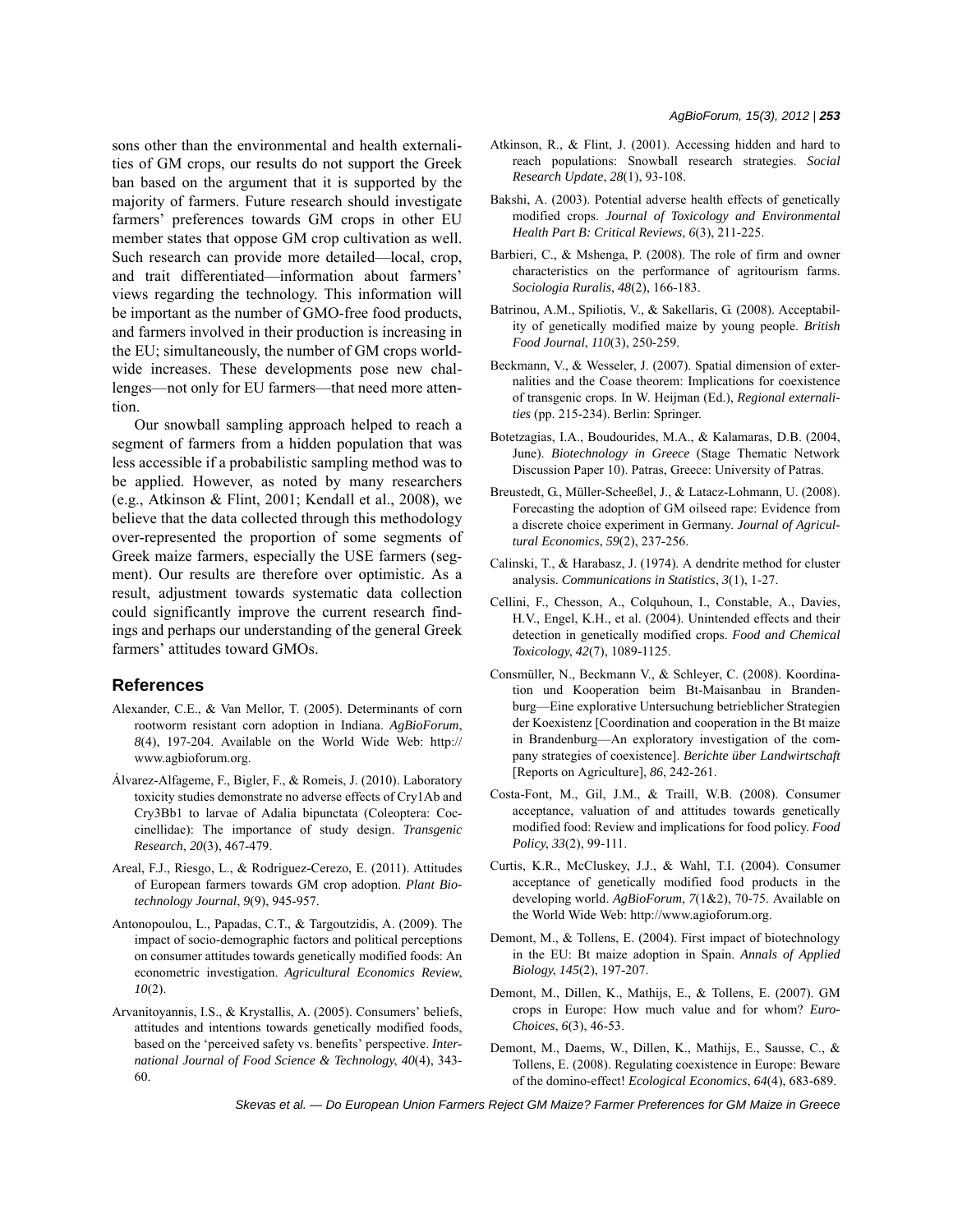sons other than the environmental and health externalities of GM crops, our results do not support the Greek ban based on the argument that it is supported by the majority of farmers. Future research should investigate farmers' preferences towards GM crops in other EU member states that oppose GM crop cultivation as well. Such research can provide more detailed—local, crop, and trait differentiated—information about farmers' views regarding the technology. This information will be important as the number of GMO-free food products, and farmers involved in their production is increasing in the EU; simultaneously, the number of GM crops worldwide increases. These developments pose new challenges—not only for EU farmers—that need more attention.

Our snowball sampling approach helped to reach a segment of farmers from a hidden population that was less accessible if a probabilistic sampling method was to be applied. However, as noted by many researchers (e.g., Atkinson & Flint, 2001; Kendall et al., 2008), we believe that the data collected through this methodology over-represented the proportion of some segments of Greek maize farmers, especially the USE farmers (segment). Our results are therefore over optimistic. As a result, adjustment towards systematic data collection could significantly improve the current research findings and perhaps our understanding of the general Greek farmers' attitudes toward GMOs.

#### **References**

- Alexander, C.E., & Van Mellor, T. (2005). Determinants of corn rootworm resistant corn adoption in Indiana. *AgBioForum*, *8*(4), 197-204. Available on the World Wide Web: http:// www.agbioforum.org.
- Álvarez-Alfageme, F., Bigler, F., & Romeis, J. (2010). Laboratory toxicity studies demonstrate no adverse effects of Cry1Ab and Cry3Bb1 to larvae of Adalia bipunctata (Coleoptera: Coccinellidae): The importance of study design. *Transgenic Research*, *20*(3), 467-479.
- Areal, F.J., Riesgo, L., & Rodriguez-Cerezo, E. (2011). Attitudes of European farmers towards GM crop adoption. *Plant Biotechnology Journal*, *9*(9), 945-957.
- Antonopoulou, L., Papadas, C.T., & Targoutzidis, A. (2009). The impact of socio-demographic factors and political perceptions on consumer attitudes towards genetically modified foods: An econometric investigation. *Agricultural Economics Review*, *10*(2).
- Arvanitoyannis, I.S., & Krystallis, A. (2005). Consumers' beliefs, attitudes and intentions towards genetically modified foods, based on the 'perceived safety vs. benefits' perspective. *International Journal of Food Science & Technology*, *40*(4), 343- 60.
- Atkinson, R., & Flint, J. (2001). Accessing hidden and hard to reach populations: Snowball research strategies. *Social Research Update*, *28*(1), 93-108.
- Bakshi, A. (2003). Potential adverse health effects of genetically modified crops. *Journal of Toxicology and Environmental Health Part B: Critical Reviews*, *6*(3), 211-225.
- Barbieri, C., & Mshenga, P. (2008). The role of firm and owner characteristics on the performance of agritourism farms. *Sociologia Ruralis*, *48*(2), 166-183.
- Batrinou, A.M., Spiliotis, V., & Sakellaris, G. (2008). Acceptability of genetically modified maize by young people. *British Food Journal*, *110*(3), 250-259.
- Beckmann, V., & Wesseler, J. (2007). Spatial dimension of externalities and the Coase theorem: Implications for coexistence of transgenic crops. In W. Heijman (Ed.), *Regional externalities* (pp. 215-234). Berlin: Springer.
- Botetzagias, I.A., Boudourides, M.A., & Kalamaras, D.B. (2004, June). *Biotechnology in Greece* (Stage Thematic Network Discussion Paper 10). Patras, Greece: University of Patras.
- Breustedt, G., Müller-Scheeßel, J., & Latacz-Lohmann, U. (2008). Forecasting the adoption of GM oilseed rape: Evidence from a discrete choice experiment in Germany. *Journal of Agricultural Economics*, *59*(2), 237-256.
- Calinski, T., & Harabasz, J. (1974). A dendrite method for cluster analysis. *Communications in Statistics*, *3*(1), 1-27.
- Cellini, F., Chesson, A., Colquhoun, I., Constable, A., Davies, H.V., Engel, K.H., et al. (2004). Unintended effects and their detection in genetically modified crops. *Food and Chemical Toxicology*, *42*(7), 1089-1125.
- Consmüller, N., Beckmann V., & Schleyer, C. (2008). Koordination und Kooperation beim Bt-Maisanbau in Brandenburg—Eine explorative Untersuchung betrieblicher Strategien der Koexistenz [Coordination and cooperation in the Bt maize in Brandenburg—An exploratory investigation of the company strategies of coexistence]. *Berichte über Landwirtschaft* [Reports on Agriculture], *86*, 242-261.
- Costa-Font, M., Gil, J.M., & Traill, W.B. (2008). Consumer acceptance, valuation of and attitudes towards genetically modified food: Review and implications for food policy. *Food Policy*, *33*(2), 99-111.
- Curtis, K.R., McCluskey, J.J., & Wahl, T.I. (2004). Consumer acceptance of genetically modified food products in the developing world. *AgBioForum*, *7*(1&2), 70-75. Available on the World Wide Web: http://www.agioforum.org.
- Demont, M., & Tollens, E. (2004). First impact of biotechnology in the EU: Bt maize adoption in Spain. *Annals of Applied Biology*, *145*(2), 197-207.
- Demont, M., Dillen, K., Mathijs, E., & Tollens, E. (2007). GM crops in Europe: How much value and for whom? *Euro-Choices*, *6*(3), 46-53.
- Demont, M., Daems, W., Dillen, K., Mathijs, E., Sausse, C., & Tollens, E. (2008). Regulating coexistence in Europe: Beware of the domino-effect! *Ecological Economics*, *64*(4), 683-689.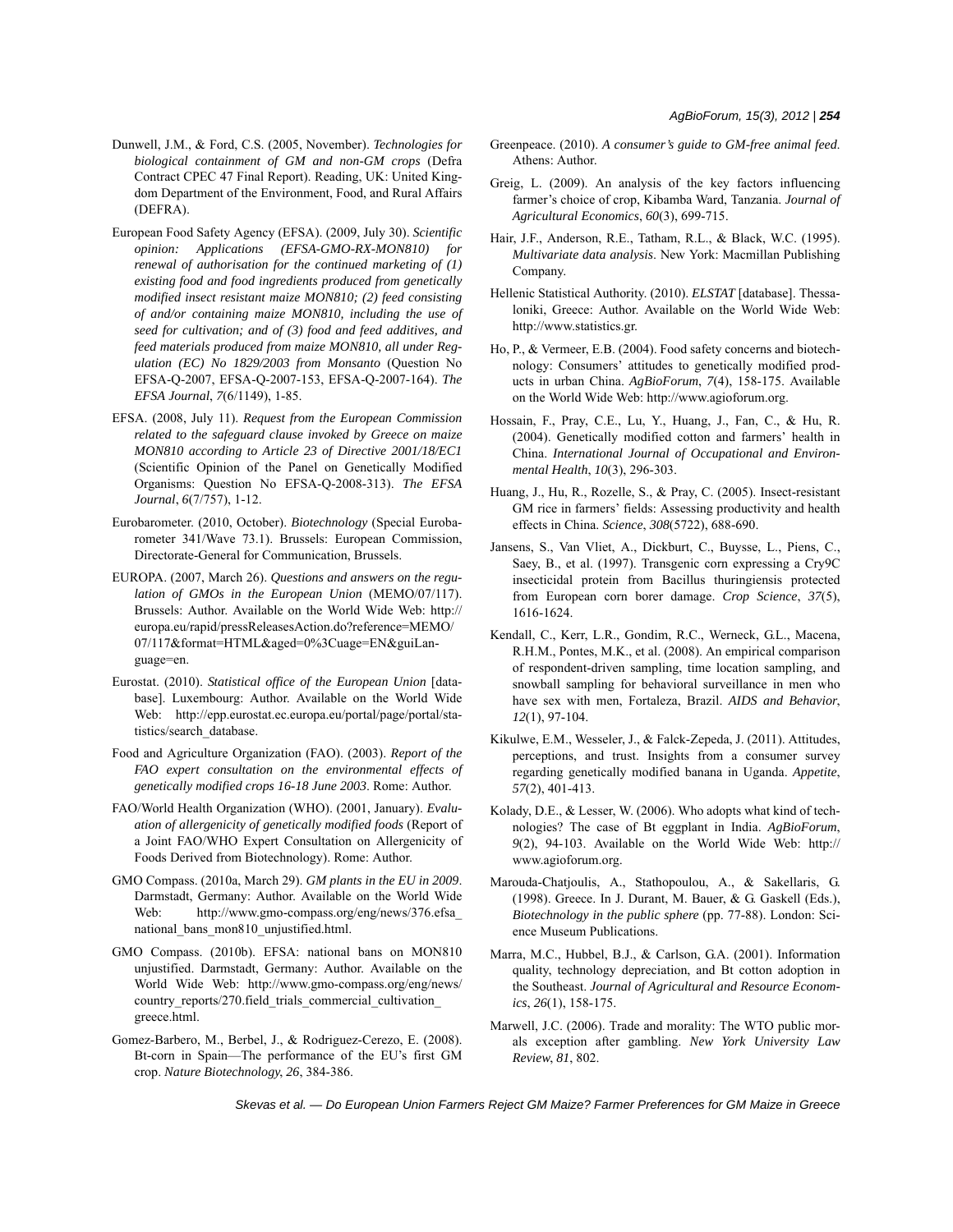- Dunwell, J.M., & Ford, C.S. (2005, November). *Technologies for biological containment of GM and non-GM crops* (Defra Contract CPEC 47 Final Report). Reading, UK: United Kingdom Department of the Environment, Food, and Rural Affairs (DEFRA).
- European Food Safety Agency (EFSA). (2009, July 30). *Scientific opinion: Applications (EFSA-GMO-RX-MON810) for renewal of authorisation for the continued marketing of (1) existing food and food ingredients produced from genetically modified insect resistant maize MON810; (2) feed consisting of and/or containing maize MON810, including the use of seed for cultivation; and of (3) food and feed additives, and feed materials produced from maize MON810, all under Regulation (EC) No 1829/2003 from Monsanto* (Question No EFSA-Q-2007, EFSA-Q-2007-153, EFSA-Q-2007-164). *The EFSA Journal*, *7*(6/1149), 1-85.
- EFSA. (2008, July 11). *Request from the European Commission related to the safeguard clause invoked by Greece on maize MON810 according to Article 23 of Directive 2001/18/EC1* (Scientific Opinion of the Panel on Genetically Modified Organisms: Question No EFSA-Q-2008-313). *The EFSA Journal*, *6*(7/757), 1-12.
- Eurobarometer. (2010, October). *Biotechnology* (Special Eurobarometer 341/Wave 73.1). Brussels: European Commission, Directorate-General for Communication, Brussels.
- EUROPA. (2007, March 26). *Questions and answers on the regulation of GMOs in the European Union* (MEMO/07/117). Brussels: Author. Available on the World Wide Web: http:// europa.eu/rapid/pressReleasesAction.do?reference=MEMO/ 07/117&format=HTML&aged=0%3Cuage=EN&guiLanguage=en.
- Eurostat. (2010). *Statistical office of the European Union* [database]. Luxembourg: Author. Available on the World Wide Web: http://epp.eurostat.ec.europa.eu/portal/page/portal/statistics/search\_database.
- Food and Agriculture Organization (FAO). (2003). *Report of the FAO expert consultation on the environmental effects of genetically modified crops 16-18 June 2003*. Rome: Author.
- FAO/World Health Organization (WHO). (2001, January). *Evaluation of allergenicity of genetically modified foods* (Report of a Joint FAO/WHO Expert Consultation on Allergenicity of Foods Derived from Biotechnology). Rome: Author.
- GMO Compass. (2010a, March 29). *GM plants in the EU in 2009*. Darmstadt, Germany: Author. Available on the World Wide Web: http://www.gmo-compass.org/eng/news/376.efsa\_ national\_bans\_mon810\_unjustified.html.
- GMO Compass. (2010b). EFSA: national bans on MON810 unjustified. Darmstadt, Germany: Author. Available on the World Wide Web: http://www.gmo-compass.org/eng/news/ country\_reports/270.field\_trials\_commercial\_cultivation\_ greece.html.
- Gomez-Barbero, M., Berbel, J., & Rodriguez-Cerezo, E. (2008). Bt-corn in Spain—The performance of the EU's first GM crop. *Nature Biotechnology*, *26*, 384-386.
- Greenpeace. (2010). *A consumer's guide to GM-free animal feed*. Athens: Author.
- Greig, L. (2009). An analysis of the key factors influencing farmer's choice of crop, Kibamba Ward, Tanzania. *Journal of Agricultural Economics*, *60*(3), 699-715.
- Hair, J.F., Anderson, R.E., Tatham, R.L., & Black, W.C. (1995). *Multivariate data analysis*. New York: Macmillan Publishing Company.
- Hellenic Statistical Authority. (2010). *ELSTAT* [database]. Thessaloniki, Greece: Author. Available on the World Wide Web: http://www.statistics.gr.
- Ho, P., & Vermeer, E.B. (2004). Food safety concerns and biotechnology: Consumers' attitudes to genetically modified products in urban China. *AgBioForum*, *7*(4), 158-175. Available on the World Wide Web: http://www.agioforum.org.
- Hossain, F., Pray, C.E., Lu, Y., Huang, J., Fan, C., & Hu, R. (2004). Genetically modified cotton and farmers' health in China. *International Journal of Occupational and Environmental Health*, *10*(3), 296-303.
- Huang, J., Hu, R., Rozelle, S., & Pray, C. (2005). Insect-resistant GM rice in farmers' fields: Assessing productivity and health effects in China. *Science*, *308*(5722), 688-690.
- Jansens, S., Van Vliet, A., Dickburt, C., Buysse, L., Piens, C., Saey, B., et al. (1997). Transgenic corn expressing a Cry9C insecticidal protein from Bacillus thuringiensis protected from European corn borer damage. *Crop Science*, *37*(5), 1616-1624.
- Kendall, C., Kerr, L.R., Gondim, R.C., Werneck, G.L., Macena, R.H.M., Pontes, M.K., et al. (2008). An empirical comparison of respondent-driven sampling, time location sampling, and snowball sampling for behavioral surveillance in men who have sex with men, Fortaleza, Brazil. *AIDS and Behavior*, *12*(1), 97-104.
- Kikulwe, E.M., Wesseler, J., & Falck-Zepeda, J. (2011). Attitudes, perceptions, and trust. Insights from a consumer survey regarding genetically modified banana in Uganda. *Appetite*, *57*(2), 401-413.
- Kolady, D.E., & Lesser, W. (2006). Who adopts what kind of technologies? The case of Bt eggplant in India. *AgBioForum*, *9*(2), 94-103. Available on the World Wide Web: http:// www.agioforum.org.
- Marouda-Chatjoulis, A., Stathopoulou, A., & Sakellaris, G. (1998). Greece. In J. Durant, M. Bauer, & G. Gaskell (Eds.), *Biotechnology in the public sphere* (pp. 77-88). London: Science Museum Publications.
- Marra, M.C., Hubbel, B.J., & Carlson, G.A. (2001). Information quality, technology depreciation, and Bt cotton adoption in the Southeast. *Journal of Agricultural and Resource Economics*, *26*(1), 158-175.
- Marwell, J.C. (2006). Trade and morality: The WTO public morals exception after gambling. *New York University Law Review*, *81*, 802.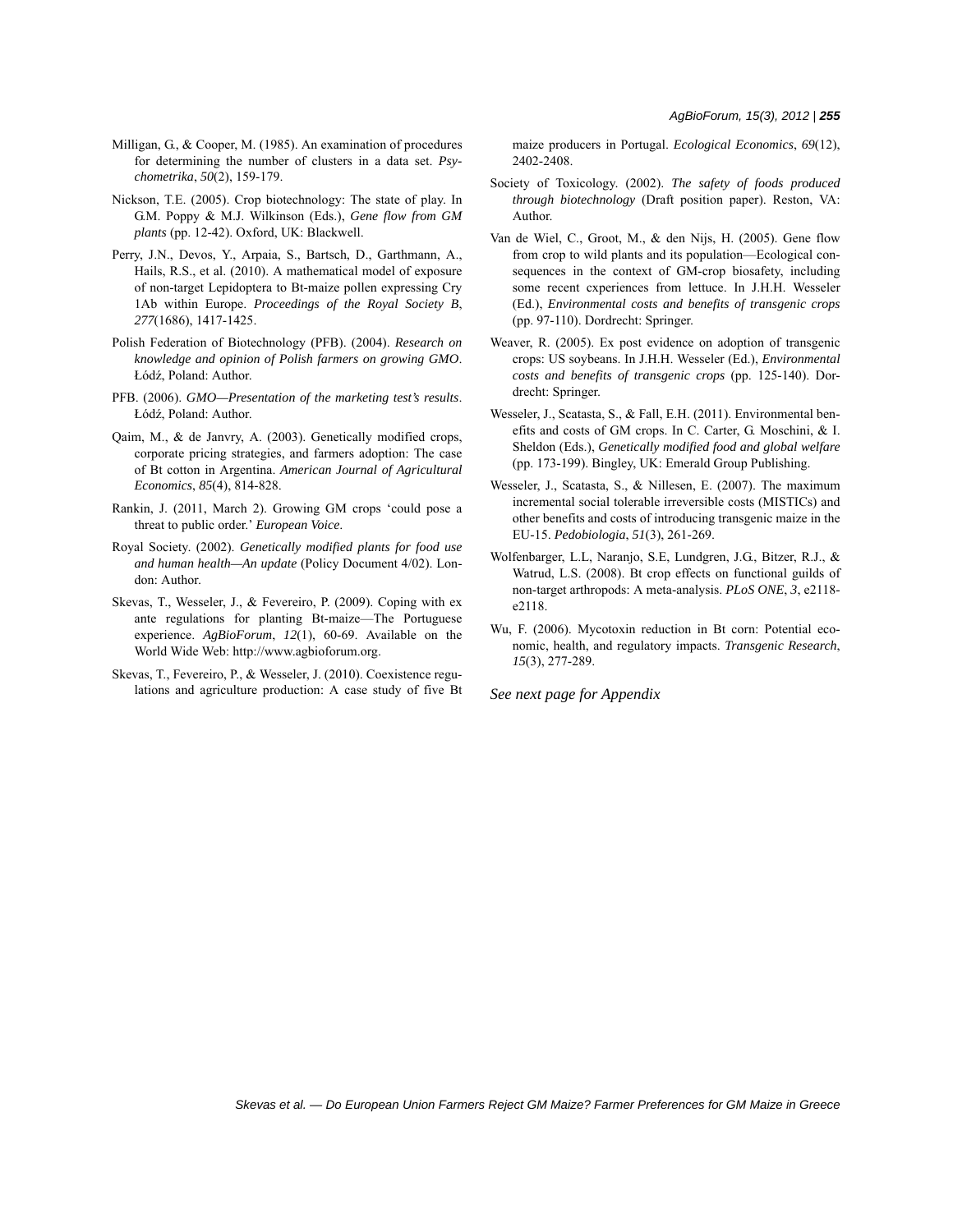- Milligan, G., & Cooper, M. (1985). An examination of procedures for determining the number of clusters in a data set. *Psychometrika*, *50*(2), 159-179.
- Nickson, T.E. (2005). Crop biotechnology: The state of play. In G.M. Poppy & M.J. Wilkinson (Eds.), *Gene flow from GM plants* (pp. 12-42). Oxford, UK: Blackwell.
- Perry, J.N., Devos, Y., Arpaia, S., Bartsch, D., Garthmann, A., Hails, R.S., et al. (2010). A mathematical model of exposure of non-target Lepidoptera to Bt-maize pollen expressing Cry 1Ab within Europe. *Proceedings of the Royal Society B*, *277*(1686), 1417-1425.
- Polish Federation of Biotechnology (PFB). (2004). *Research on knowledge and opinion of Polish farmers on growing GMO*. Łódź, Poland: Author.
- PFB. (2006). *GMO—Presentation of the marketing test's results*. Łódź, Poland: Author.
- Qaim, M., & de Janvry, A. (2003). Genetically modified crops, corporate pricing strategies, and farmers adoption: The case of Bt cotton in Argentina. *American Journal of Agricultural Economics*, *85*(4), 814-828.
- Rankin, J. (2011, March 2). Growing GM crops 'could pose a threat to public order.' *European Voice*.
- Royal Society. (2002). *Genetically modified plants for food use and human health—An update* (Policy Document 4/02). London: Author.
- Skevas, T., Wesseler, J., & Fevereiro, P. (2009). Coping with ex ante regulations for planting Bt-maize—The Portuguese experience. *AgBioForum*, *12*(1), 60-69. Available on the World Wide Web: http://www.agbioforum.org.
- Skevas, T., Fevereiro, P., & Wesseler, J. (2010). Coexistence regulations and agriculture production: A case study of five Bt

maize producers in Portugal. *Ecological Economics*, *69*(12), 2402-2408.

- Society of Toxicology. (2002). *The safety of foods produced through biotechnology* (Draft position paper). Reston, VA: Author.
- Van de Wiel, C., Groot, M., & den Nijs, H. (2005). Gene flow from crop to wild plants and its population—Ecological consequences in the context of GM-crop biosafety, including some recent cxperiences from lettuce. In J.H.H. Wesseler (Ed.), *Environmental costs and benefits of transgenic crops* (pp. 97-110). Dordrecht: Springer.
- Weaver, R. (2005). Ex post evidence on adoption of transgenic crops: US soybeans. In J.H.H. Wesseler (Ed.), *Environmental costs and benefits of transgenic crops* (pp. 125-140). Dordrecht: Springer.
- Wesseler, J., Scatasta, S., & Fall, E.H. (2011). Environmental benefits and costs of GM crops. In C. Carter, G. Moschini, & I. Sheldon (Eds.), *Genetically modified food and global welfare* (pp. 173-199). Bingley, UK: Emerald Group Publishing.
- Wesseler, J., Scatasta, S., & Nillesen, E. (2007). The maximum incremental social tolerable irreversible costs (MISTICs) and other benefits and costs of introducing transgenic maize in the EU-15. *Pedobiologia*, *51*(3), 261-269.
- Wolfenbarger, L.L, Naranjo, S.E, Lundgren, J.G., Bitzer, R.J., & Watrud, L.S. (2008). Bt crop effects on functional guilds of non-target arthropods: A meta-analysis. *PLoS ONE*, *3*, e2118 e2118.
- Wu, F. (2006). Mycotoxin reduction in Bt corn: Potential economic, health, and regulatory impacts. *Transgenic Research*, *15*(3), 277-289.

*See next page for Appendix*